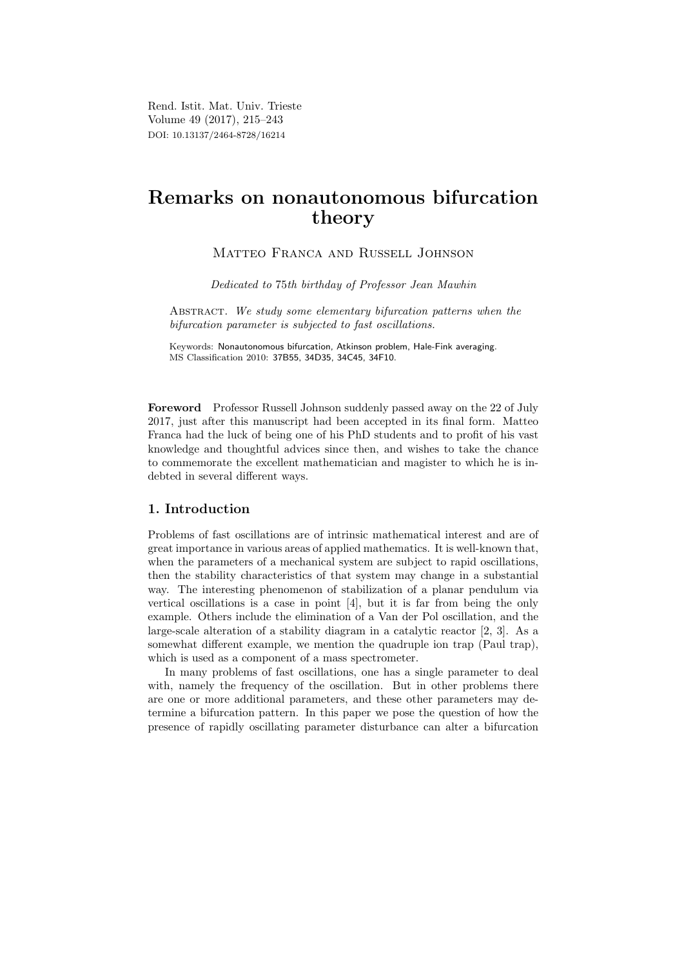Rend. Istit. Mat. Univ. Trieste Volume 49 (2017), 215–243 DOI: 10.13137/2464-8728/16214

# Remarks on nonautonomous bifurcation theory

Matteo Franca and Russell Johnson

Dedicated to 75th birthday of Professor Jean Mawhin

ABSTRACT. We study some elementary bifurcation patterns when the bifurcation parameter is subjected to fast oscillations.

Keywords: Nonautonomous bifurcation, Atkinson problem, Hale-Fink averaging. MS Classification 2010: 37B55, 34D35, 34C45, 34F10.

Foreword Professor Russell Johnson suddenly passed away on the 22 of July 2017, just after this manuscript had been accepted in its final form. Matteo Franca had the luck of being one of his PhD students and to profit of his vast knowledge and thoughtful advices since then, and wishes to take the chance to commemorate the excellent mathematician and magister to which he is indebted in several different ways.

# 1. Introduction

Problems of fast oscillations are of intrinsic mathematical interest and are of great importance in various areas of applied mathematics. It is well-known that, when the parameters of a mechanical system are subject to rapid oscillations, then the stability characteristics of that system may change in a substantial way. The interesting phenomenon of stabilization of a planar pendulum via vertical oscillations is a case in point [4], but it is far from being the only example. Others include the elimination of a Van der Pol oscillation, and the large-scale alteration of a stability diagram in a catalytic reactor [2, 3]. As a somewhat different example, we mention the quadruple ion trap (Paul trap), which is used as a component of a mass spectrometer.

In many problems of fast oscillations, one has a single parameter to deal with, namely the frequency of the oscillation. But in other problems there are one or more additional parameters, and these other parameters may determine a bifurcation pattern. In this paper we pose the question of how the presence of rapidly oscillating parameter disturbance can alter a bifurcation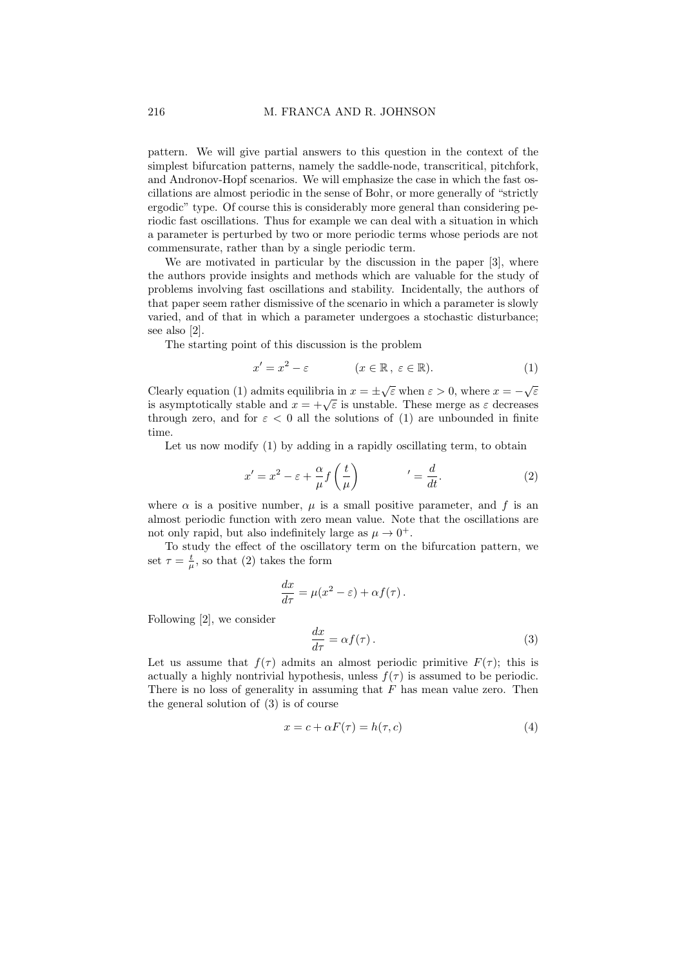pattern. We will give partial answers to this question in the context of the simplest bifurcation patterns, namely the saddle-node, transcritical, pitchfork, and Andronov-Hopf scenarios. We will emphasize the case in which the fast oscillations are almost periodic in the sense of Bohr, or more generally of "strictly ergodic" type. Of course this is considerably more general than considering periodic fast oscillations. Thus for example we can deal with a situation in which a parameter is perturbed by two or more periodic terms whose periods are not commensurate, rather than by a single periodic term.

We are motivated in particular by the discussion in the paper [3], where the authors provide insights and methods which are valuable for the study of problems involving fast oscillations and stability. Incidentally, the authors of that paper seem rather dismissive of the scenario in which a parameter is slowly varied, and of that in which a parameter undergoes a stochastic disturbance; see also [2].

The starting point of this discussion is the problem

$$
x' = x^2 - \varepsilon \qquad (x \in \mathbb{R}, \ \varepsilon \in \mathbb{R}). \tag{1}
$$

Clearly equation (1) admits equilibria in  $x = \pm \sqrt{\varepsilon}$  when  $\varepsilon > 0$ , where  $x = -\sqrt{\varepsilon}$ Clearly equation (1) admits equilibria in  $x = \pm \sqrt{\varepsilon}$  when  $\varepsilon > 0$ , where  $x = -\sqrt{\varepsilon}$ <br>is asymptotically stable and  $x = +\sqrt{\varepsilon}$  is unstable. These merge as  $\varepsilon$  decreases through zero, and for  $\varepsilon < 0$  all the solutions of (1) are unbounded in finite time.

Let us now modify (1) by adding in a rapidly oscillating term, to obtain

$$
x' = x^2 - \varepsilon + \frac{\alpha}{\mu} f\left(\frac{t}{\mu}\right) \qquad \qquad' = \frac{d}{dt}.\tag{2}
$$

where  $\alpha$  is a positive number,  $\mu$  is a small positive parameter, and f is an almost periodic function with zero mean value. Note that the oscillations are not only rapid, but also indefinitely large as  $\mu \to 0^+$ .

To study the effect of the oscillatory term on the bifurcation pattern, we set  $\tau = \frac{t}{\mu}$ , so that (2) takes the form

$$
\frac{dx}{d\tau} = \mu(x^2 - \varepsilon) + \alpha f(\tau).
$$

Following [2], we consider

$$
\frac{dx}{d\tau} = \alpha f(\tau). \tag{3}
$$

Let us assume that  $f(\tau)$  admits an almost periodic primitive  $F(\tau)$ ; this is actually a highly nontrivial hypothesis, unless  $f(\tau)$  is assumed to be periodic. There is no loss of generality in assuming that  $F$  has mean value zero. Then the general solution of (3) is of course

$$
x = c + \alpha F(\tau) = h(\tau, c)
$$
\n<sup>(4)</sup>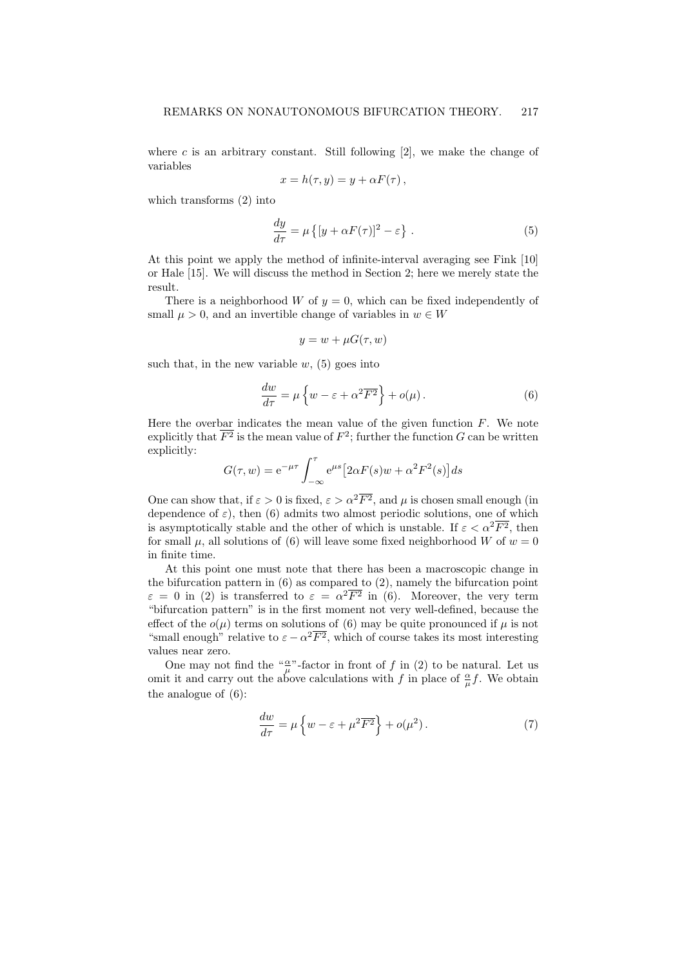where c is an arbitrary constant. Still following  $[2]$ , we make the change of variables

$$
x = h(\tau, y) = y + \alpha F(\tau) ,
$$

which transforms (2) into

$$
\frac{dy}{d\tau} = \mu \left\{ [y + \alpha F(\tau)]^2 - \varepsilon \right\} \,. \tag{5}
$$

At this point we apply the method of infinite-interval averaging see Fink [10] or Hale [15]. We will discuss the method in Section 2; here we merely state the result.

There is a neighborhood W of  $y = 0$ , which can be fixed independently of small  $\mu > 0$ , and an invertible change of variables in  $w \in W$ 

$$
y = w + \mu G(\tau, w)
$$

such that, in the new variable  $w$ , (5) goes into

$$
\frac{dw}{d\tau} = \mu \left\{ w - \varepsilon + \alpha^2 \overline{F^2} \right\} + o(\mu). \tag{6}
$$

Here the overbar indicates the mean value of the given function  $F$ . We note explicitly that  $\overline{F^2}$  is the mean value of  $F^2$ ; further the function G can be written explicitly:

$$
G(\tau, w) = e^{-\mu \tau} \int_{-\infty}^{\tau} e^{\mu s} \left[ 2\alpha F(s) w + \alpha^2 F^2(s) \right] ds
$$

One can show that, if  $\varepsilon > 0$  is fixed,  $\varepsilon > \alpha^2 \overline{F^2}$ , and  $\mu$  is chosen small enough (in dependence of  $\varepsilon$ ), then (6) admits two almost periodic solutions, one of which is asymptotically stable and the other of which is unstable. If  $\varepsilon < \alpha^2 \overline{F^2}$ , then for small  $\mu$ , all solutions of (6) will leave some fixed neighborhood W of  $w = 0$ in finite time.

At this point one must note that there has been a macroscopic change in the bifurcation pattern in (6) as compared to (2), namely the bifurcation point  $\varepsilon = 0$  in (2) is transferred to  $\varepsilon = \alpha^2 \overline{F^2}$  in (6). Moreover, the very term "bifurcation pattern" is in the first moment not very well-defined, because the effect of the  $o(\mu)$  terms on solutions of (6) may be quite pronounced if  $\mu$  is not "small enough" relative to  $\varepsilon - \alpha^2 \overline{F^2}$ , which of course takes its most interesting values near zero.

One may not find the " $\frac{\alpha}{\mu}$ "-factor in front of f in (2) to be natural. Let us omit it and carry out the above calculations with f in place of  $\frac{\alpha}{\mu}f$ . We obtain the analogue of (6):

$$
\frac{dw}{d\tau} = \mu \left\{ w - \varepsilon + \mu^2 \overline{F^2} \right\} + o(\mu^2).
$$
 (7)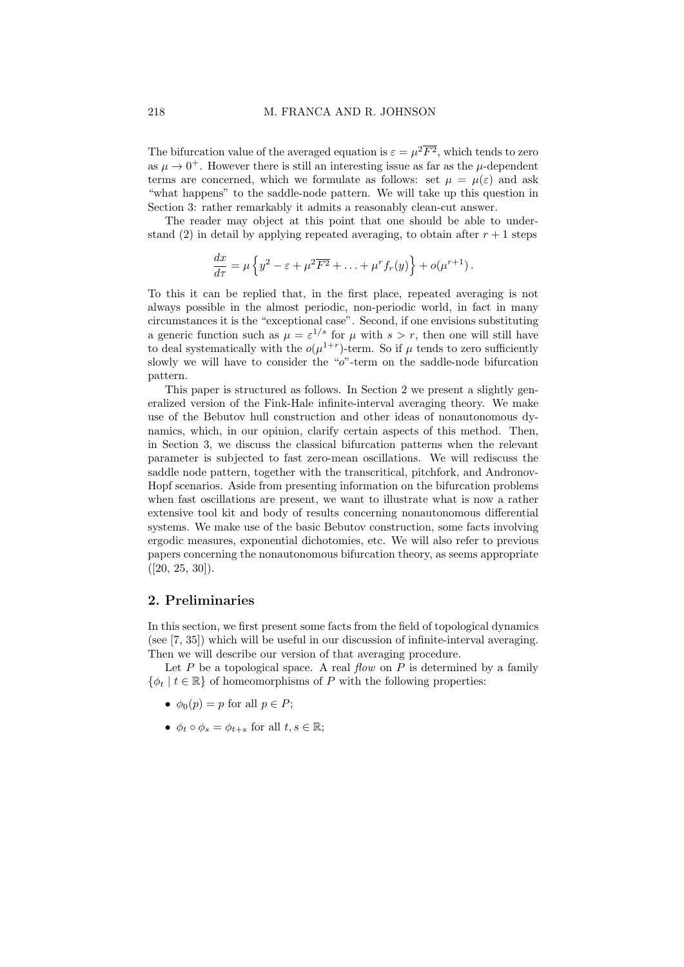The bifurcation value of the averaged equation is  $\varepsilon = \mu^2 \overline{F^2}$ , which tends to zero as  $\mu \to 0^+$ . However there is still an interesting issue as far as the  $\mu$ -dependent terms are concerned, which we formulate as follows: set  $\mu = \mu(\varepsilon)$  and ask "what happens" to the saddle-node pattern. We will take up this question in Section 3: rather remarkably it admits a reasonably clean-cut answer.

The reader may object at this point that one should be able to understand (2) in detail by applying repeated averaging, to obtain after  $r + 1$  steps

$$
\frac{dx}{d\tau} = \mu \left\{ y^2 - \varepsilon + \mu^2 \overline{F^2} + \ldots + \mu^r f_r(y) \right\} + o(\mu^{r+1}).
$$

To this it can be replied that, in the first place, repeated averaging is not always possible in the almost periodic, non-periodic world, in fact in many circumstances it is the "exceptional case". Second, if one envisions substituting a generic function such as  $\mu = \varepsilon^{1/s}$  for  $\mu$  with  $s > r$ , then one will still have to deal systematically with the  $o(\mu^{1+r})$ -term. So if  $\mu$  tends to zero sufficiently slowly we will have to consider the "o"-term on the saddle-node bifurcation pattern.

This paper is structured as follows. In Section 2 we present a slightly generalized version of the Fink-Hale infinite-interval averaging theory. We make use of the Bebutov hull construction and other ideas of nonautonomous dynamics, which, in our opinion, clarify certain aspects of this method. Then, in Section 3, we discuss the classical bifurcation patterns when the relevant parameter is subjected to fast zero-mean oscillations. We will rediscuss the saddle node pattern, together with the transcritical, pitchfork, and Andronov-Hopf scenarios. Aside from presenting information on the bifurcation problems when fast oscillations are present, we want to illustrate what is now a rather extensive tool kit and body of results concerning nonautonomous differential systems. We make use of the basic Bebutov construction, some facts involving ergodic measures, exponential dichotomies, etc. We will also refer to previous papers concerning the nonautonomous bifurcation theory, as seems appropriate  $([20, 25, 30]).$ 

# 2. Preliminaries

In this section, we first present some facts from the field of topological dynamics (see [7, 35]) which will be useful in our discussion of infinite-interval averaging. Then we will describe our version of that averaging procedure.

Let  $P$  be a topological space. A real flow on  $P$  is determined by a family  $\{\phi_t | t \in \mathbb{R}\}\$  of homeomorphisms of P with the following properties:

- $\phi_0(p) = p$  for all  $p \in P$ ;
- $\phi_t \circ \phi_s = \phi_{t+s}$  for all  $t, s \in \mathbb{R}$ ;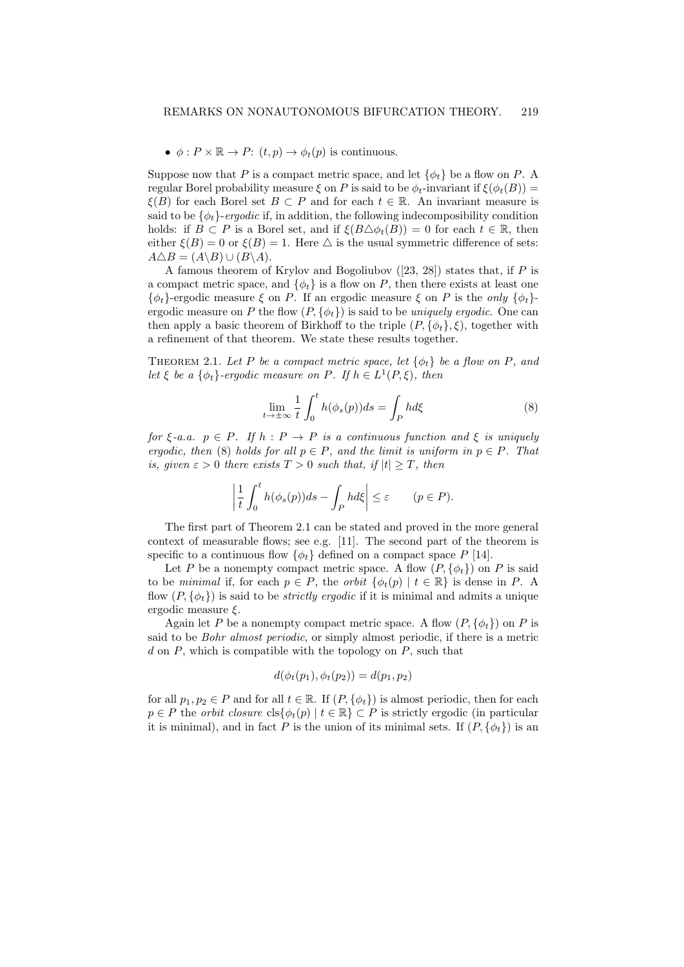$\bullet \phi : P \times \mathbb{R} \to P: (t,p) \to \phi_t(p)$  is continuous.

Suppose now that P is a compact metric space, and let  $\{\phi_t\}$  be a flow on P. A regular Borel probability measure  $\xi$  on P is said to be  $\phi_t$ -invariant if  $\xi(\phi_t(B))$  =  $\xi(B)$  for each Borel set  $B \subset P$  and for each  $t \in \mathbb{R}$ . An invariant measure is said to be  $\{\phi_t\}$ -ergodic if, in addition, the following indecomposibility condition holds: if  $B \subset P$  is a Borel set, and if  $\xi(B \triangle \phi_t(B)) = 0$  for each  $t \in \mathbb{R}$ , then either  $\xi(B) = 0$  or  $\xi(B) = 1$ . Here  $\Delta$  is the usual symmetric difference of sets:  $A \triangle B = (A \setminus B) \cup (B \setminus A).$ 

A famous theorem of Krylov and Bogoliubov  $(23, 28)$  states that, if P is a compact metric space, and  $\{\phi_t\}$  is a flow on P, then there exists at least one  ${\phi_t}$ -ergodic measure  $\xi$  on P. If an ergodic measure  $\xi$  on P is the only  ${\phi_t}$ ergodic measure on P the flow  $(P, \{\phi_t\})$  is said to be *uniquely ergodic*. One can then apply a basic theorem of Birkhoff to the triple  $(P, \{\phi_t\}, \xi)$ , together with a refinement of that theorem. We state these results together.

THEOREM 2.1. Let P be a compact metric space, let  $\{\phi_t\}$  be a flow on P, and let  $\xi$  be a  $\{\phi_t\}$ -ergodic measure on P. If  $h \in L^1(P, \xi)$ , then

$$
\lim_{t \to \pm \infty} \frac{1}{t} \int_0^t h(\phi_s(p))ds = \int_P h d\xi \tag{8}
$$

for  $\xi$ -a.a.  $p \in P$ . If  $h : P \to P$  is a continuous function and  $\xi$  is uniquely ergodic, then (8) holds for all  $p \in P$ , and the limit is uniform in  $p \in P$ . That is, given  $\varepsilon > 0$  there exists  $T > 0$  such that, if  $|t| \geq T$ , then

$$
\left|\frac{1}{t}\int_0^t h(\phi_s(p))ds - \int_P h d\xi\right| \le \varepsilon \qquad (p \in P).
$$

The first part of Theorem 2.1 can be stated and proved in the more general context of measurable flows; see e.g. [11]. The second part of the theorem is specific to a continuous flow  $\{\phi_t\}$  defined on a compact space P [14].

Let P be a nonempty compact metric space. A flow  $(P, \{\phi_t\})$  on P is said to be minimal if, for each  $p \in P$ , the *orbit*  $\{\phi_t(p) \mid t \in \mathbb{R}\}\$ is dense in P. A flow  $(P, \{\phi_t\})$  is said to be *strictly ergodic* if it is minimal and admits a unique ergodic measure ξ.

Again let P be a nonempty compact metric space. A flow  $(P, \{\phi_t\})$  on P is said to be Bohr almost periodic, or simply almost periodic, if there is a metric  $d$  on P, which is compatible with the topology on P, such that

$$
d(\phi_t(p_1), \phi_t(p_2)) = d(p_1, p_2)
$$

for all  $p_1, p_2 \in P$  and for all  $t \in \mathbb{R}$ . If  $(P, \{\phi_t\})$  is almost periodic, then for each  $p \in P$  the *orbit closure*  $\text{cls}\{\phi_t(p) \mid t \in \mathbb{R}\}\subset P$  is strictly ergodic (in particular it is minimal), and in fact P is the union of its minimal sets. If  $(P, \{\phi_t\})$  is an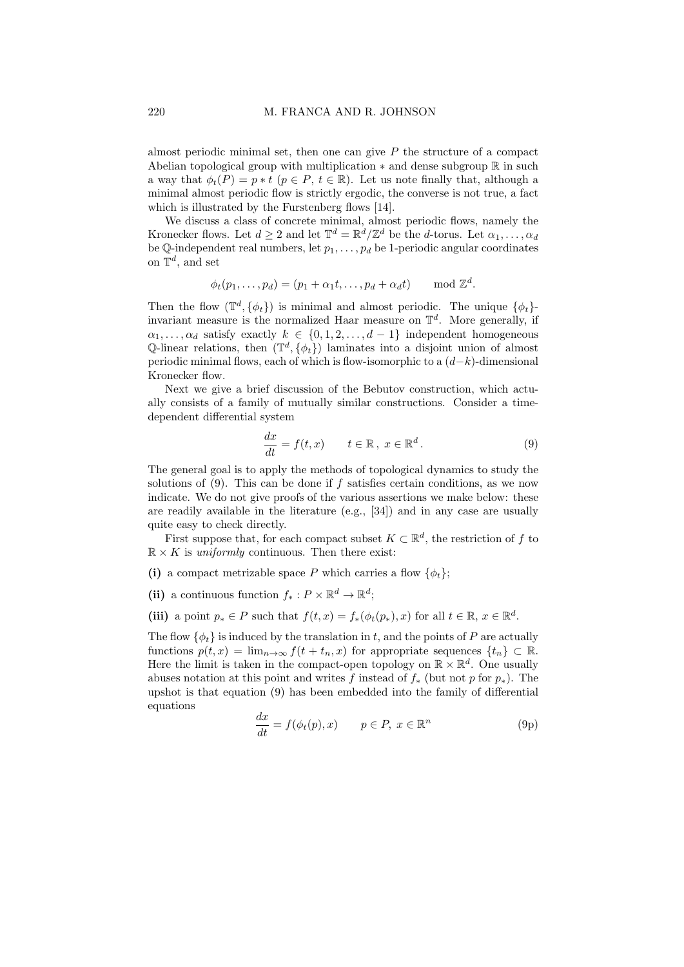almost periodic minimal set, then one can give  $P$  the structure of a compact Abelian topological group with multiplication  $*$  and dense subgroup  $\mathbb R$  in such a way that  $\phi_t(P) = p * t$   $(p \in P, t \in \mathbb{R})$ . Let us note finally that, although a minimal almost periodic flow is strictly ergodic, the converse is not true, a fact which is illustrated by the Furstenberg flows [14].

We discuss a class of concrete minimal, almost periodic flows, namely the Kronecker flows. Let  $d \geq 2$  and let  $\mathbb{T}^d = \mathbb{R}^d / \mathbb{Z}^d$  be the *d*-torus. Let  $\alpha_1, \ldots, \alpha_d$ be Q-independent real numbers, let  $p_1, \ldots, p_d$  be 1-periodic angular coordinates on  $\mathbb{T}^d$ , and set

$$
\phi_t(p_1,\ldots,p_d)=(p_1+\alpha_1t,\ldots,p_d+\alpha_dt) \mod \mathbb{Z}^d.
$$

Then the flow  $(\mathbb{T}^d, \{\phi_t\})$  is minimal and almost periodic. The unique  $\{\phi_t\}$ invariant measure is the normalized Haar measure on  $\mathbb{T}^d$ . More generally, if  $\alpha_1, \ldots, \alpha_d$  satisfy exactly  $k \in \{0, 1, 2, \ldots, d-1\}$  independent homogeneous Q-linear relations, then  $(\mathbb{T}^d, \{\phi_t\})$  laminates into a disjoint union of almost periodic minimal flows, each of which is flow-isomorphic to a  $(d-k)$ -dimensional Kronecker flow.

Next we give a brief discussion of the Bebutov construction, which actually consists of a family of mutually similar constructions. Consider a timedependent differential system

$$
\frac{dx}{dt} = f(t, x) \qquad t \in \mathbb{R}, \ x \in \mathbb{R}^d. \tag{9}
$$

The general goal is to apply the methods of topological dynamics to study the solutions of  $(9)$ . This can be done if f satisfies certain conditions, as we now indicate. We do not give proofs of the various assertions we make below: these are readily available in the literature (e.g., [34]) and in any case are usually quite easy to check directly.

First suppose that, for each compact subset  $K \subset \mathbb{R}^d$ , the restriction of f to  $\mathbb{R} \times K$  is *uniformly* continuous. Then there exist:

(i) a compact metrizable space P which carries a flow  $\{\phi_t\}$ ;

(ii) a continuous function  $f_*: P \times \mathbb{R}^d \to \mathbb{R}^d$ ;

(iii) a point  $p_* \in P$  such that  $f(t,x) = f_*(\phi_t(p_*), x)$  for all  $t \in \mathbb{R}, x \in \mathbb{R}^d$ .

The flow  $\{\phi_t\}$  is induced by the translation in t, and the points of P are actually functions  $p(t, x) = \lim_{n \to \infty} f(t + t_n, x)$  for appropriate sequences  $\{t_n\} \subset \mathbb{R}$ . Here the limit is taken in the compact-open topology on  $\mathbb{R} \times \mathbb{R}^d$ . One usually abuses notation at this point and writes f instead of  $f_*$  (but not p for  $p_*$ ). The upshot is that equation (9) has been embedded into the family of differential equations

$$
\frac{dx}{dt} = f(\phi_t(p), x) \qquad p \in P, \ x \in \mathbb{R}^n \tag{9p}
$$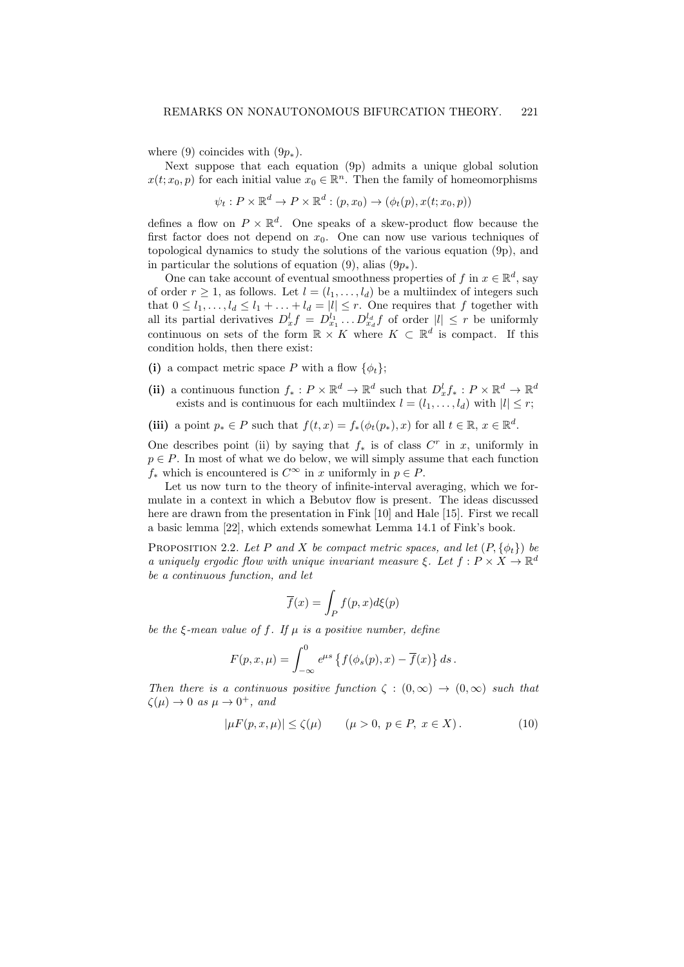where (9) coincides with  $(9p_*)$ .

Next suppose that each equation (9p) admits a unique global solution  $x(t; x_0, p)$  for each initial value  $x_0 \in \mathbb{R}^n$ . Then the family of homeomorphisms

$$
\psi_t: P \times \mathbb{R}^d \to P \times \mathbb{R}^d : (p, x_0) \to (\phi_t(p), x(t; x_0, p))
$$

defines a flow on  $P \times \mathbb{R}^d$ . One speaks of a skew-product flow because the first factor does not depend on  $x_0$ . One can now use various techniques of topological dynamics to study the solutions of the various equation (9p), and in particular the solutions of equation (9), alias  $(9p_*)$ .

One can take account of eventual smoothness properties of f in  $x \in \mathbb{R}^d$ , say of order  $r \geq 1$ , as follows. Let  $l = (l_1, \ldots, l_d)$  be a multiindex of integers such that  $0 \leq l_1, \ldots, l_d \leq l_1 + \ldots + l_d = |l| \leq r$ . One requires that f together with all its partial derivatives  $D_x^l f = D_{x_1}^{l_1} \dots D_{x_d}^{l_d} f$  of order  $|l| \leq r$  be uniformly continuous on sets of the form  $\mathbb{R} \times K$  where  $K \subset \mathbb{R}^d$  is compact. If this condition holds, then there exist:

- (i) a compact metric space P with a flow  $\{\phi_t\}$ ;
- (ii) a continuous function  $f_*: P \times \mathbb{R}^d \to \mathbb{R}^d$  such that  $D_x^l f_*: P \times \mathbb{R}^d \to \mathbb{R}^d$ exists and is continuous for each multiindex  $l = (l_1, \ldots, l_d)$  with  $|l| \leq r$ ;
- (iii) a point  $p_* \in P$  such that  $f(t,x) = f_*(\phi_t(p_*), x)$  for all  $t \in \mathbb{R}, x \in \mathbb{R}^d$ .

One describes point (ii) by saying that  $f_*$  is of class  $C^r$  in x, uniformly in  $p \in P$ . In most of what we do below, we will simply assume that each function f<sup>\*</sup> which is encountered is  $C^{\infty}$  in x uniformly in  $p \in P$ .

Let us now turn to the theory of infinite-interval averaging, which we formulate in a context in which a Bebutov flow is present. The ideas discussed here are drawn from the presentation in Fink [10] and Hale [15]. First we recall a basic lemma [22], which extends somewhat Lemma 14.1 of Fink's book.

PROPOSITION 2.2. Let P and X be compact metric spaces, and let  $(P, \{\phi_t\})$  be a uniquely ergodic flow with unique invariant measure  $\xi$ . Let  $f: P \times X \to \mathbb{R}^d$ be a continuous function, and let

$$
\overline{f}(x) = \int_P f(p, x) d\xi(p)
$$

be the  $\xi$ -mean value of f. If  $\mu$  is a positive number, define

$$
F(p,x,\mu) = \int_{-\infty}^{0} e^{\mu s} \left\{ f(\phi_s(p),x) - \overline{f}(x) \right\} ds.
$$

Then there is a continuous positive function  $\zeta : (0, \infty) \to (0, \infty)$  such that  $\zeta(\mu) \to 0$  as  $\mu \to 0^+$ , and

$$
|\mu F(p, x, \mu)| \le \zeta(\mu) \qquad (\mu > 0, \ p \in P, \ x \in X). \tag{10}
$$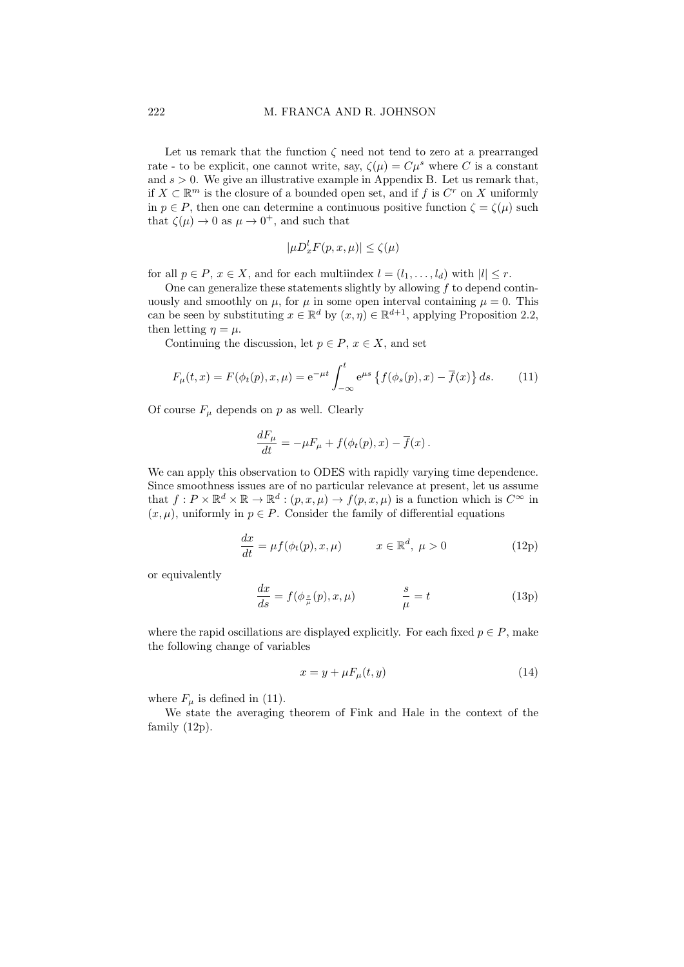Let us remark that the function  $\zeta$  need not tend to zero at a prearranged rate - to be explicit, one cannot write, say,  $\zeta(\mu) = C\mu^s$  where C is a constant and  $s > 0$ . We give an illustrative example in Appendix B. Let us remark that, if  $X \subset \mathbb{R}^m$  is the closure of a bounded open set, and if f is  $C^r$  on X uniformly in  $p \in P$ , then one can determine a continuous positive function  $\zeta = \zeta(\mu)$  such that  $\zeta(\mu) \to 0$  as  $\mu \to 0^+$ , and such that

$$
|\mu D_x^l F(p,x,\mu)| \le \zeta(\mu)
$$

for all  $p \in P$ ,  $x \in X$ , and for each multiindex  $l = (l_1, \ldots, l_d)$  with  $|l| \leq r$ .

One can generalize these statements slightly by allowing  $f$  to depend continuously and smoothly on  $\mu$ , for  $\mu$  in some open interval containing  $\mu = 0$ . This can be seen by substituting  $x \in \mathbb{R}^d$  by  $(x, \eta) \in \mathbb{R}^{d+1}$ , applying Proposition 2.2, then letting  $\eta = \mu$ .

Continuing the discussion, let  $p \in P$ ,  $x \in X$ , and set

$$
F_{\mu}(t,x) = F(\phi_t(p), x, \mu) = e^{-\mu t} \int_{-\infty}^t e^{\mu s} \left\{ f(\phi_s(p), x) - \overline{f}(x) \right\} ds. \tag{11}
$$

Of course  $F_{\mu}$  depends on p as well. Clearly

$$
\frac{dF_{\mu}}{dt} = -\mu F_{\mu} + f(\phi_t(p), x) - \overline{f}(x).
$$

We can apply this observation to ODES with rapidly varying time dependence. Since smoothness issues are of no particular relevance at present, let us assume that  $f: P \times \mathbb{R}^d \times \mathbb{R} \to \mathbb{R}^d : (p, x, \mu) \to f(p, x, \mu)$  is a function which is  $C^{\infty}$  in  $(x, \mu)$ , uniformly in  $p \in P$ . Consider the family of differential equations

$$
\frac{dx}{dt} = \mu f(\phi_t(p), x, \mu) \qquad x \in \mathbb{R}^d, \ \mu > 0 \tag{12p}
$$

or equivalently

$$
\frac{dx}{ds} = f(\phi_{\frac{s}{\mu}}(p), x, \mu) \qquad \frac{s}{\mu} = t \tag{13p}
$$

where the rapid oscillations are displayed explicitly. For each fixed  $p \in P$ , make the following change of variables

$$
x = y + \mu F_{\mu}(t, y) \tag{14}
$$

where  $F_{\mu}$  is defined in (11).

We state the averaging theorem of Fink and Hale in the context of the family (12p).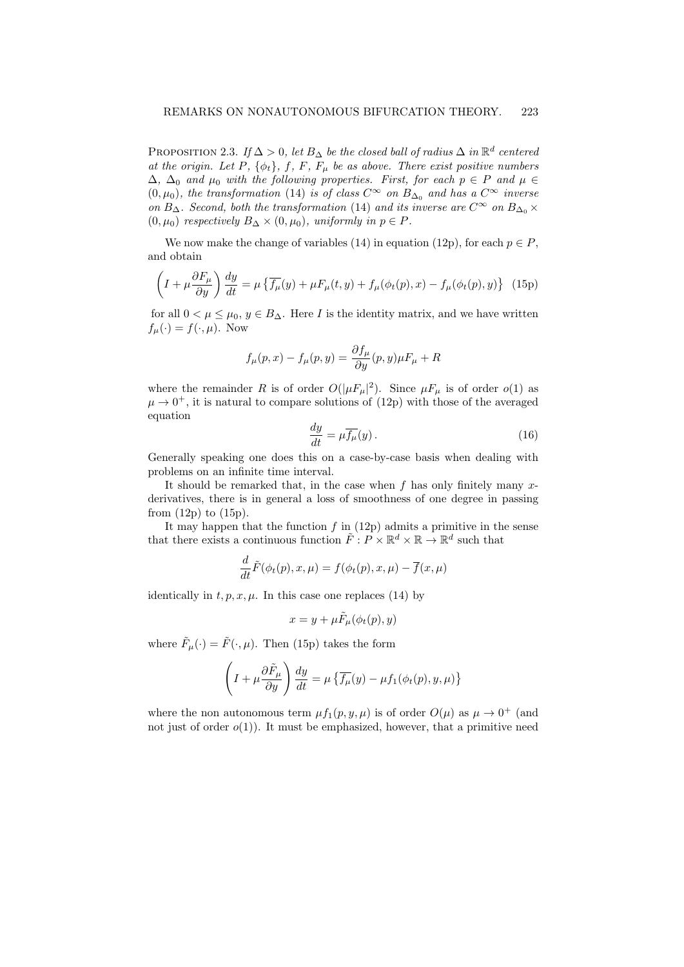PROPOSITION 2.3. If  $\Delta > 0$ , let  $B_{\Delta}$  be the closed ball of radius  $\Delta$  in  $\mathbb{R}^d$  centered at the origin. Let P,  $\{\phi_t\}$ , f, F,  $F_\mu$  be as above. There exist positive numbers  $\Delta$ ,  $\Delta_0$  and  $\mu_0$  with the following properties. First, for each  $p \in P$  and  $\mu \in$  $(0, \mu_0)$ , the transformation (14) is of class  $C^{\infty}$  on  $B_{\Delta_0}$  and has a  $C^{\infty}$  inverse on  $B_{\Delta}$ . Second, both the transformation (14) and its inverse are  $C^{\infty}$  on  $B_{\Delta_0} \times$  $(0, \mu_0)$  respectively  $B_{\Delta} \times (0, \mu_0)$ , uniformly in  $p \in P$ .

We now make the change of variables (14) in equation (12p), for each  $p \in P$ , and obtain

$$
\left(I + \mu \frac{\partial F_{\mu}}{\partial y}\right) \frac{dy}{dt} = \mu \left\{ \overline{f_{\mu}}(y) + \mu F_{\mu}(t, y) + f_{\mu}(\phi_t(p), x) - f_{\mu}(\phi_t(p), y) \right\} (15p)
$$

for all  $0 < \mu \leq \mu_0, y \in B_{\Delta}$ . Here I is the identity matrix, and we have written  $f_{\mu}(\cdot) = f(\cdot, \mu)$ . Now

$$
f_{\mu}(p,x) - f_{\mu}(p,y) = \frac{\partial f_{\mu}}{\partial y}(p,y)\mu F_{\mu} + R
$$

where the remainder R is of order  $O(|\mu F_{\mu}|^2)$ . Since  $\mu F_{\mu}$  is of order  $o(1)$  as  $\mu \to 0^+$ , it is natural to compare solutions of (12p) with those of the averaged equation

$$
\frac{dy}{dt} = \mu \overline{f_{\mu}}(y). \tag{16}
$$

Generally speaking one does this on a case-by-case basis when dealing with problems on an infinite time interval.

It should be remarked that, in the case when  $f$  has only finitely many  $x$ derivatives, there is in general a loss of smoothness of one degree in passing from  $(12p)$  to  $(15p)$ .

It may happen that the function  $f$  in (12p) admits a primitive in the sense that there exists a continuous function  $\tilde{F}: P \times \mathbb{R}^d \times \mathbb{R} \to \mathbb{R}^d$  such that

$$
\frac{d}{dt}\tilde{F}(\phi_t(p), x, \mu) = f(\phi_t(p), x, \mu) - \overline{f}(x, \mu)
$$

identically in  $t, p, x, \mu$ . In this case one replaces (14) by

$$
x = y + \mu \tilde{F}_{\mu}(\phi_t(p), y)
$$

where  $\tilde{F}_{\mu}(\cdot) = \tilde{F}(\cdot, \mu)$ . Then (15p) takes the form

$$
\left(I + \mu \frac{\partial \tilde{F}_{\mu}}{\partial y}\right) \frac{dy}{dt} = \mu \left\{ \overline{f_{\mu}}(y) - \mu f_1(\phi_t(p), y, \mu) \right\}
$$

where the non autonomous term  $\mu f_1(p, y, \mu)$  is of order  $O(\mu)$  as  $\mu \to 0^+$  (and not just of order  $o(1)$ ). It must be emphasized, however, that a primitive need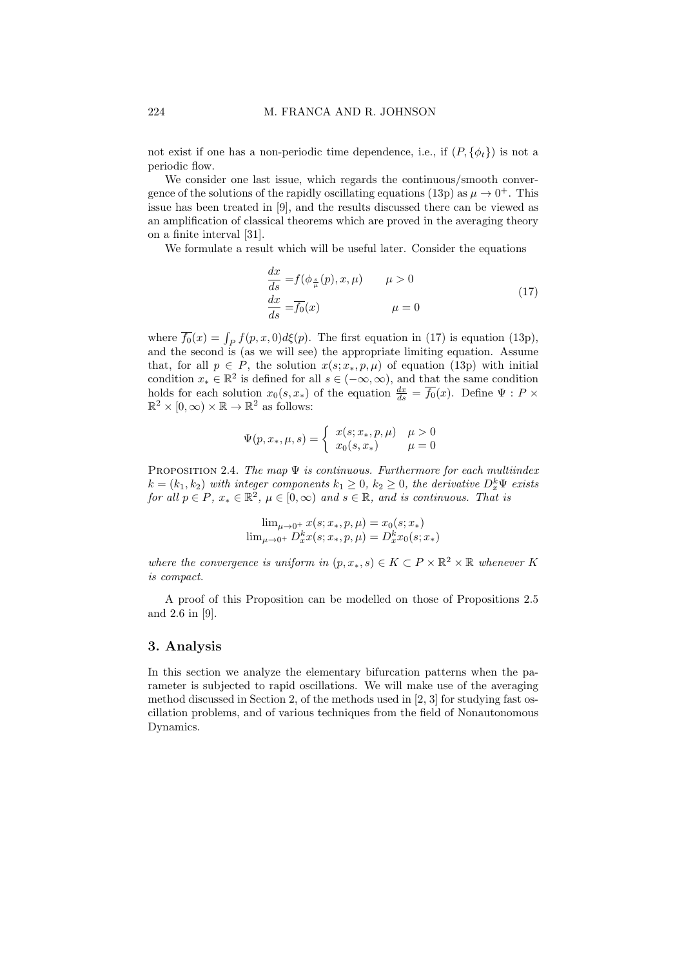not exist if one has a non-periodic time dependence, i.e., if  $(P, \{\phi_t\})$  is not a periodic flow.

We consider one last issue, which regards the continuous/smooth convergence of the solutions of the rapidly oscillating equations (13p) as  $\mu \to 0^+$ . This issue has been treated in [9], and the results discussed there can be viewed as an amplification of classical theorems which are proved in the averaging theory on a finite interval [31].

We formulate a result which will be useful later. Consider the equations

$$
\frac{dx}{ds} = f(\phi_{\frac{s}{\mu}}(p), x, \mu) \qquad \mu > 0
$$
  

$$
\frac{dx}{ds} = \overline{f_0}(x) \qquad \mu = 0
$$
\n(17)

where  $\overline{f_0}(x) = \int_P f(p, x, 0) d\xi(p)$ . The first equation in (17) is equation (13p), and the second is (as we will see) the appropriate limiting equation. Assume that, for all  $p \in P$ , the solution  $x(s; x_*, p, \mu)$  of equation (13p) with initial condition  $x_* \in \mathbb{R}^2$  is defined for all  $s \in (-\infty, \infty)$ , and that the same condition holds for each solution  $x_0(s, x_*)$  of the equation  $\frac{dx}{ds} = \overline{f_0}(x)$ . Define  $\Psi : P \times \mathbb{R}^2 \times [0, \infty) \times \mathbb{R} \to \mathbb{R}^2$  as follows:

$$
\Psi(p, x_*, \mu, s) = \begin{cases} x(s; x_*, p, \mu) & \mu > 0 \\ x_0(s, x_*) & \mu = 0 \end{cases}
$$

PROPOSITION 2.4. The map  $\Psi$  is continuous. Furthermore for each multiindex  $k = (k_1, k_2)$  with integer components  $k_1 \geq 0$ ,  $k_2 \geq 0$ , the derivative  $D_x^k \Psi$  exists for all  $p \in P$ ,  $x_* \in \mathbb{R}^2$ ,  $\mu \in [0, \infty)$  and  $s \in \mathbb{R}$ , and is continuous. That is

$$
\lim_{\mu \to 0^+} x(s; x_*, p, \mu) = x_0(s; x_*)
$$
  

$$
\lim_{\mu \to 0^+} D_x^k x(s; x_*, p, \mu) = D_x^k x_0(s; x_*)
$$

where the convergence is uniform in  $(p, x_*, s) \in K \subset P \times \mathbb{R}^2 \times \mathbb{R}$  whenever K is compact.

A proof of this Proposition can be modelled on those of Propositions 2.5 and 2.6 in [9].

## 3. Analysis

In this section we analyze the elementary bifurcation patterns when the parameter is subjected to rapid oscillations. We will make use of the averaging method discussed in Section 2, of the methods used in [2, 3] for studying fast oscillation problems, and of various techniques from the field of Nonautonomous Dynamics.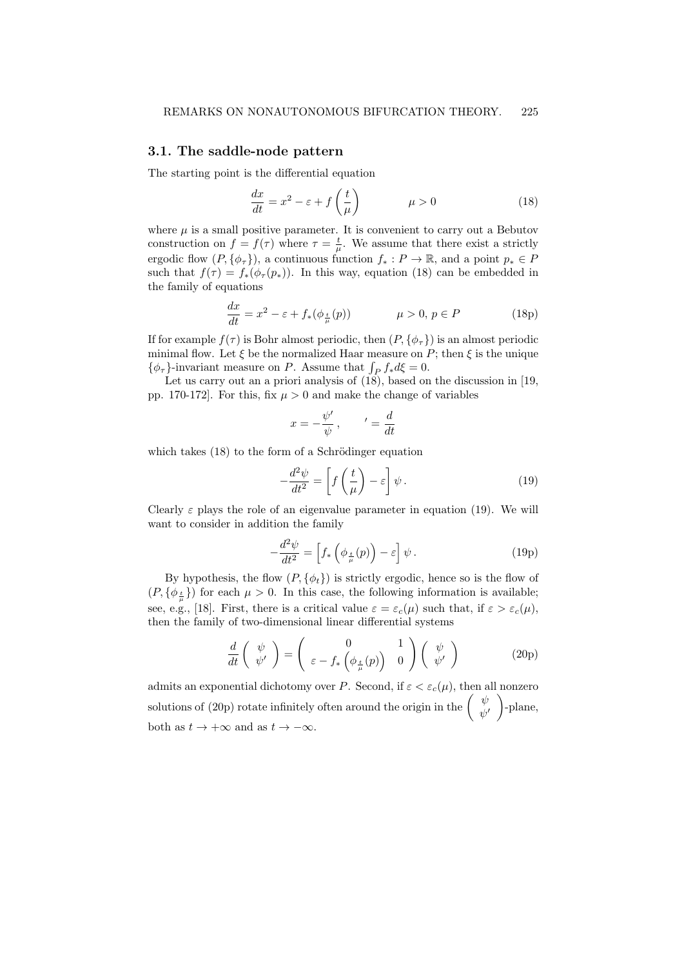#### 3.1. The saddle-node pattern

The starting point is the differential equation

$$
\frac{dx}{dt} = x^2 - \varepsilon + f\left(\frac{t}{\mu}\right) \qquad \mu > 0 \tag{18}
$$

where  $\mu$  is a small positive parameter. It is convenient to carry out a Bebutov construction on  $f = f(\tau)$  where  $\tau = \frac{t}{\mu}$ . We assume that there exist a strictly ergodic flow  $(P, \{\phi_{\tau}\})$ , a continuous function  $f_* : P \to \mathbb{R}$ , and a point  $p_* \in P$ such that  $f(\tau) = f_*(\phi_\tau(p_*))$ . In this way, equation (18) can be embedded in the family of equations

$$
\frac{dx}{dt} = x^2 - \varepsilon + f_*(\phi_{\frac{t}{\mu}}(p)) \qquad \mu > 0, \, p \in P \tag{18p}
$$

If for example  $f(\tau)$  is Bohr almost periodic, then  $(P, {\phi_{\tau}})$  is an almost periodic minimal flow. Let  $\xi$  be the normalized Haar measure on P; then  $\xi$  is the unique  $\{\phi_{\tau}\}\text{-invariant measure on } P.$  Assume that  $\int_{P} f_* d\xi = 0.$ 

Let us carry out an a priori analysis of (18), based on the discussion in [19, pp. 170-172. For this, fix  $\mu > 0$  and make the change of variables

$$
x = -\frac{\psi'}{\psi}, \qquad' = \frac{d}{dt}
$$

which takes  $(18)$  to the form of a Schrödinger equation

$$
-\frac{d^2\psi}{dt^2} = \left[f\left(\frac{t}{\mu}\right) - \varepsilon\right]\psi.
$$
 (19)

Clearly  $\varepsilon$  plays the role of an eigenvalue parameter in equation (19). We will want to consider in addition the family

$$
-\frac{d^2\psi}{dt^2} = \left[f_*\left(\phi_{\frac{t}{\mu}}(p)\right) - \varepsilon\right]\psi.
$$
 (19p)

By hypothesis, the flow  $(P, \{\phi_t\})$  is strictly ergodic, hence so is the flow of  $(P, {\phi_{\frac{t}{\mu}}})$  for each  $\mu > 0$ . In this case, the following information is available; see, e.g., [18]. First, there is a critical value  $\varepsilon = \varepsilon_c(\mu)$  such that, if  $\varepsilon > \varepsilon_c(\mu)$ , then the family of two-dimensional linear differential systems

$$
\frac{d}{dt}\begin{pmatrix} \psi \\ \psi' \end{pmatrix} = \begin{pmatrix} 0 & 1 \\ \varepsilon - f_* \begin{pmatrix} \phi_{\frac{t}{\mu}}(p) \end{pmatrix} & \begin{pmatrix} \psi \\ \psi' \end{pmatrix} \end{pmatrix}
$$
 (20p)

admits an exponential dichotomy over P. Second, if  $\varepsilon < \varepsilon_c(\mu)$ , then all nonzero solutions of (20p) rotate infinitely often around the origin in the  $\begin{pmatrix} \psi & \psi \\ \psi & \psi & \psi \end{pmatrix}$  $\psi'$  -plane, both as  $t \to +\infty$  and as  $t \to -\infty$ .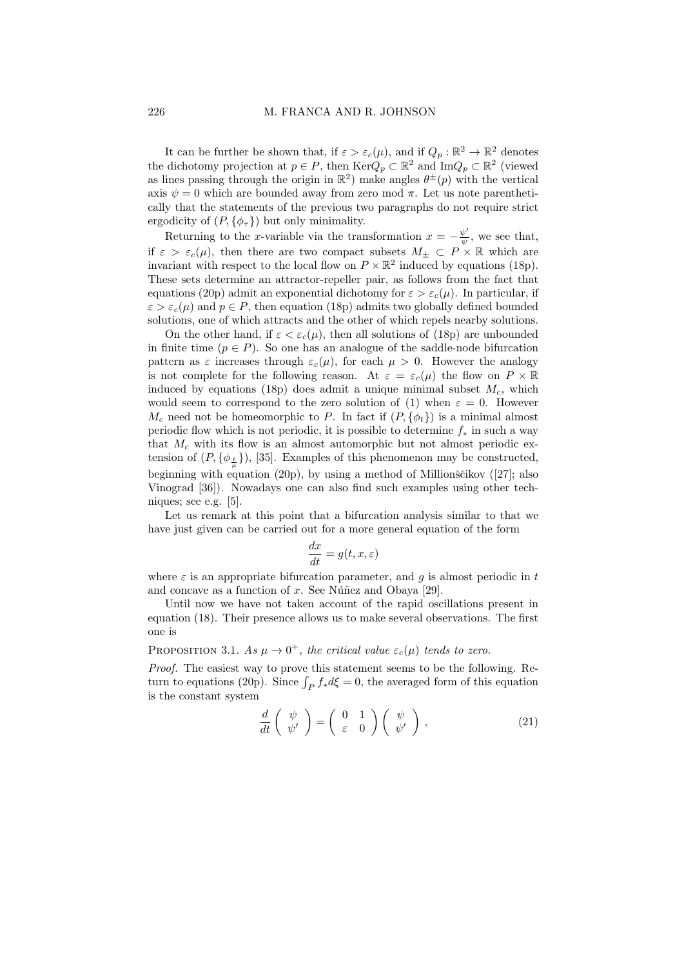It can be further be shown that, if  $\varepsilon > \varepsilon_c(\mu)$ , and if  $Q_p : \mathbb{R}^2 \to \mathbb{R}^2$  denotes the dichotomy projection at  $p \in P$ , then  $\text{Ker}Q_p \subset \mathbb{R}^2$  and  $\text{Im}Q_p \subset \mathbb{R}^2$  (viewed as lines passing through the origin in  $\mathbb{R}^2$  make angles  $\theta^{\pm}(p)$  with the vertical axis  $\psi = 0$  which are bounded away from zero mod  $\pi$ . Let us note parenthetically that the statements of the previous two paragraphs do not require strict ergodicity of  $(P, \{\phi_{\tau}\})$  but only minimality.

Returning to the x-variable via the transformation  $x = -\frac{\psi'}{\psi}$  $\frac{\psi}{\psi}$ , we see that, if  $\varepsilon > \varepsilon_c(\mu)$ , then there are two compact subsets  $M_{\pm} \subset P \times \mathbb{R}$  which are invariant with respect to the local flow on  $P \times \mathbb{R}^2$  induced by equations (18p). These sets determine an attractor-repeller pair, as follows from the fact that equations (20p) admit an exponential dichotomy for  $\varepsilon > \varepsilon_c(\mu)$ . In particular, if  $\varepsilon > \varepsilon_c(\mu)$  and  $p \in P$ , then equation (18p) admits two globally defined bounded solutions, one of which attracts and the other of which repels nearby solutions.

On the other hand, if  $\varepsilon < \varepsilon_c(\mu)$ , then all solutions of (18p) are unbounded in finite time  $(p \in P)$ . So one has an analogue of the saddle-node bifurcation pattern as  $\varepsilon$  increases through  $\varepsilon_c(\mu)$ , for each  $\mu > 0$ . However the analogy is not complete for the following reason. At  $\varepsilon = \varepsilon_c(\mu)$  the flow on  $P \times \mathbb{R}$ induced by equations (18p) does admit a unique minimal subset  $M_c$ , which would seem to correspond to the zero solution of (1) when  $\varepsilon = 0$ . However  $M_c$  need not be homeomorphic to P. In fact if  $(P, \{\phi_t\})$  is a minimal almost periodic flow which is not periodic, it is possible to determine  $f_*$  in such a way that  $M_c$  with its flow is an almost automorphic but not almost periodic extension of  $(P, \{\phi_{\frac{t}{\mu}}\})$ , [35]. Examples of this phenomenon may be constructed, beginning with equation (20p), by using a method of Millionščikov ([27]; also Vinograd [36]). Nowadays one can also find such examples using other techniques; see e.g. [5].

Let us remark at this point that a bifurcation analysis similar to that we have just given can be carried out for a more general equation of the form

$$
\frac{dx}{dt} = g(t, x, \varepsilon)
$$

where  $\varepsilon$  is an appropriate bifurcation parameter, and q is almost periodic in t and concave as a function of  $x$ . See Núñez and Obaya [29].

Until now we have not taken account of the rapid oscillations present in equation (18). Their presence allows us to make several observations. The first one is

PROPOSITION 3.1. As  $\mu \to 0^+$ , the critical value  $\varepsilon_c(\mu)$  tends to zero.

Proof. The easiest way to prove this statement seems to be the following. Return to equations (20p). Since  $\int_P f_* d\xi = 0$ , the averaged form of this equation is the constant system

$$
\frac{d}{dt}\begin{pmatrix} \psi \\ \psi' \end{pmatrix} = \begin{pmatrix} 0 & 1 \\ \varepsilon & 0 \end{pmatrix} \begin{pmatrix} \psi \\ \psi' \end{pmatrix}, \tag{21}
$$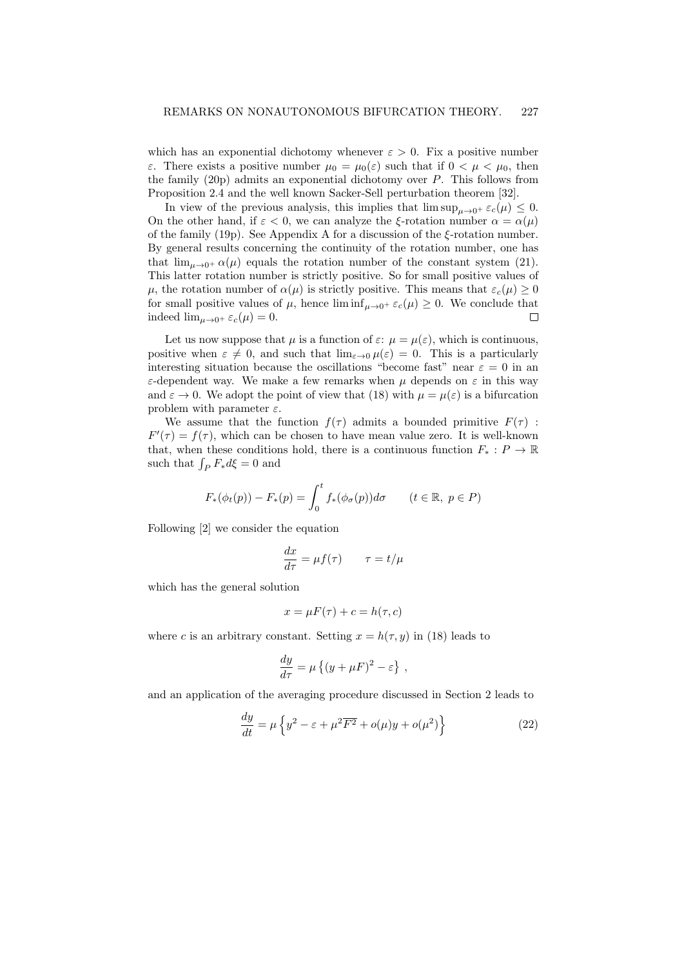which has an exponential dichotomy whenever  $\varepsilon > 0$ . Fix a positive number ε. There exists a positive number  $\mu_0 = \mu_0(\varepsilon)$  such that if  $0 < \mu < \mu_0$ , then the family  $(20p)$  admits an exponential dichotomy over P. This follows from Proposition 2.4 and the well known Sacker-Sell perturbation theorem [32].

In view of the previous analysis, this implies that  $\limsup_{u\to 0^+} \varepsilon_c(\mu) \leq 0$ . On the other hand, if  $\varepsilon < 0$ , we can analyze the ξ-rotation number  $\alpha = \alpha(\mu)$ of the family (19p). See Appendix A for a discussion of the  $\xi$ -rotation number. By general results concerning the continuity of the rotation number, one has that  $\lim_{\mu \to 0^+} \alpha(\mu)$  equals the rotation number of the constant system (21). This latter rotation number is strictly positive. So for small positive values of  $\mu$ , the rotation number of  $\alpha(\mu)$  is strictly positive. This means that  $\varepsilon_c(\mu) \geq 0$ for small positive values of  $\mu$ , hence  $\liminf_{\mu \to 0^+} \varepsilon_c(\mu) \geq 0$ . We conclude that indeed  $\lim_{\mu \to 0^+} \varepsilon_c(\mu) = 0.$  $\Box$ 

Let us now suppose that  $\mu$  is a function of  $\varepsilon$ :  $\mu = \mu(\varepsilon)$ , which is continuous, positive when  $\varepsilon \neq 0$ , and such that  $\lim_{\varepsilon \to 0} \mu(\varepsilon) = 0$ . This is a particularly interesting situation because the oscillations "become fast" near  $\varepsilon = 0$  in an ε-dependent way. We make a few remarks when  $\mu$  depends on ε in this way and  $\varepsilon \to 0$ . We adopt the point of view that (18) with  $\mu = \mu(\varepsilon)$  is a bifurcation problem with parameter  $\varepsilon$ .

We assume that the function  $f(\tau)$  admits a bounded primitive  $F(\tau)$ :  $F'(\tau) = f(\tau)$ , which can be chosen to have mean value zero. It is well-known that, when these conditions hold, there is a continuous function  $F_* : P \to \mathbb{R}$ such that  $\int_P F_* d\xi = 0$  and

$$
F_*(\phi_t(p)) - F_*(p) = \int_0^t f_*(\phi_\sigma(p))d\sigma \qquad (t \in \mathbb{R}, \ p \in P)
$$

Following [2] we consider the equation

$$
\frac{dx}{d\tau} = \mu f(\tau) \qquad \tau = t/\mu
$$

which has the general solution

$$
x = \mu F(\tau) + c = h(\tau, c)
$$

where c is an arbitrary constant. Setting  $x = h(\tau, y)$  in (18) leads to

$$
\frac{dy}{d\tau} = \mu \left\{ (y + \mu F)^2 - \varepsilon \right\} ,
$$

and an application of the averaging procedure discussed in Section 2 leads to

$$
\frac{dy}{dt} = \mu \left\{ y^2 - \varepsilon + \mu^2 \overline{F^2} + o(\mu)y + o(\mu^2) \right\}
$$
\n(22)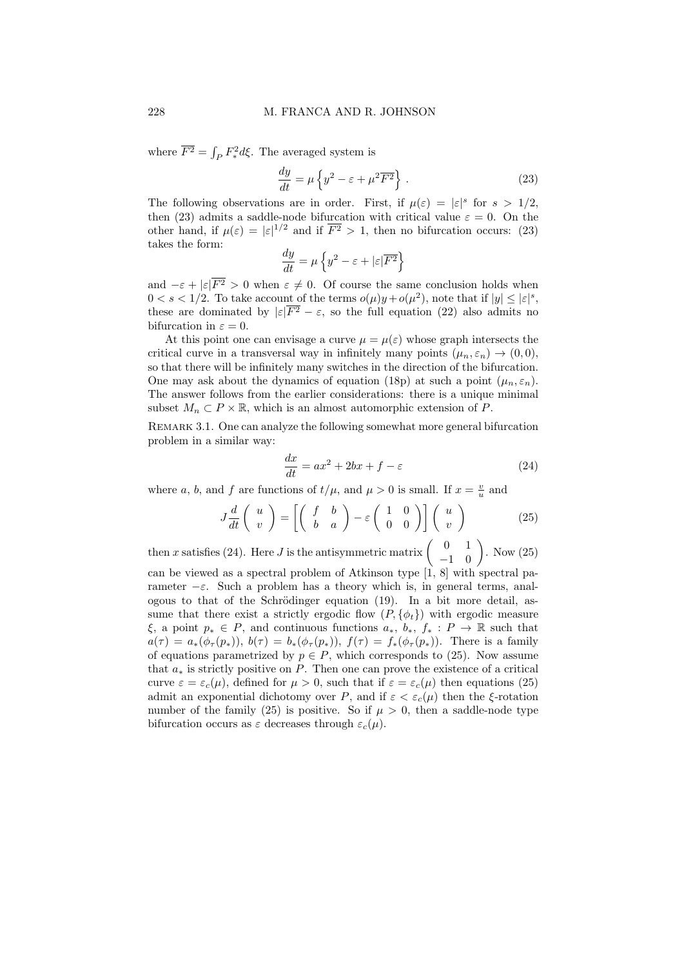where  $\overline{F^2} = \int_P F_*^2 d\xi$ . The averaged system is

$$
\frac{dy}{dt} = \mu \left\{ y^2 - \varepsilon + \mu^2 \overline{F^2} \right\} . \tag{23}
$$

The following observations are in order. First, if  $\mu(\varepsilon) = |\varepsilon|^s$  for  $s > 1/2$ , then (23) admits a saddle-node bifurcation with critical value  $\varepsilon = 0$ . On the other hand, if  $\mu(\varepsilon) = |\varepsilon|^{1/2}$  and if  $\overline{F^2} > 1$ , then no bifurcation occurs: (23) takes the form:

$$
\frac{dy}{dt} = \mu \left\{ y^2 - \varepsilon + |\varepsilon| \overline{F^2} \right\}
$$

and  $-\varepsilon + |\varepsilon| \overline{F^2} > 0$  when  $\varepsilon \neq 0$ . Of course the same conclusion holds when  $0 < s < 1/2$ . To take account of the terms  $o(\mu)y + o(\mu^2)$ , note that if  $|y| \leq |\varepsilon|^s$ , these are dominated by  $|\varepsilon|\overline{F^2} - \varepsilon$ , so the full equation (22) also admits no bifurcation in  $\varepsilon = 0$ .

At this point one can envisage a curve  $\mu = \mu(\varepsilon)$  whose graph intersects the critical curve in a transversal way in infinitely many points  $(\mu_n, \varepsilon_n) \to (0, 0),$ so that there will be infinitely many switches in the direction of the bifurcation. One may ask about the dynamics of equation (18p) at such a point  $(\mu_n, \varepsilon_n)$ . The answer follows from the earlier considerations: there is a unique minimal subset  $M_n \subset P \times \mathbb{R}$ , which is an almost automorphic extension of P.

REMARK 3.1. One can analyze the following somewhat more general bifurcation problem in a similar way:

$$
\frac{dx}{dt} = ax^2 + 2bx + f - \varepsilon \tag{24}
$$

where a, b, and f are functions of  $t/\mu$ , and  $\mu > 0$  is small. If  $x = \frac{v}{u}$  and

$$
J\frac{d}{dt}\begin{pmatrix} u \\ v \end{pmatrix} = \begin{bmatrix} \begin{pmatrix} f & b \\ b & a \end{pmatrix} - \varepsilon \begin{pmatrix} 1 & 0 \\ 0 & 0 \end{pmatrix} \end{bmatrix} \begin{pmatrix} u \\ v \end{pmatrix}
$$
 (25)

then x satisfies (24). Here J is the antisymmetric matrix  $\begin{pmatrix} 0 & 1 \\ -1 & 0 \end{pmatrix}$ . Now (25) can be viewed as a spectral problem of Atkinson type [1, 8] with spectral parameter  $-\varepsilon$ . Such a problem has a theory which is, in general terms, analogous to that of the Schrödinger equation  $(19)$ . In a bit more detail, assume that there exist a strictly ergodic flow  $(P, \{\phi_t\})$  with ergodic measure  $\xi$ , a point  $p_* \in P$ , and continuous functions  $a_*, b_*, f_* : P \to \mathbb{R}$  such that  $a(\tau) = a_*(\phi_\tau(p_*)), b(\tau) = b_*(\phi_\tau(p_*)), f(\tau) = f_*(\phi_\tau(p_*)).$  There is a family of equations parametrized by  $p \in P$ , which corresponds to (25). Now assume that  $a_*$  is strictly positive on  $P$ . Then one can prove the existence of a critical curve  $\varepsilon = \varepsilon_c(\mu)$ , defined for  $\mu > 0$ , such that if  $\varepsilon = \varepsilon_c(\mu)$  then equations (25) admit an exponential dichotomy over P, and if  $\varepsilon < \varepsilon_c(\mu)$  then the  $\xi$ -rotation number of the family (25) is positive. So if  $\mu > 0$ , then a saddle-node type bifurcation occurs as  $\varepsilon$  decreases through  $\varepsilon_c(\mu)$ .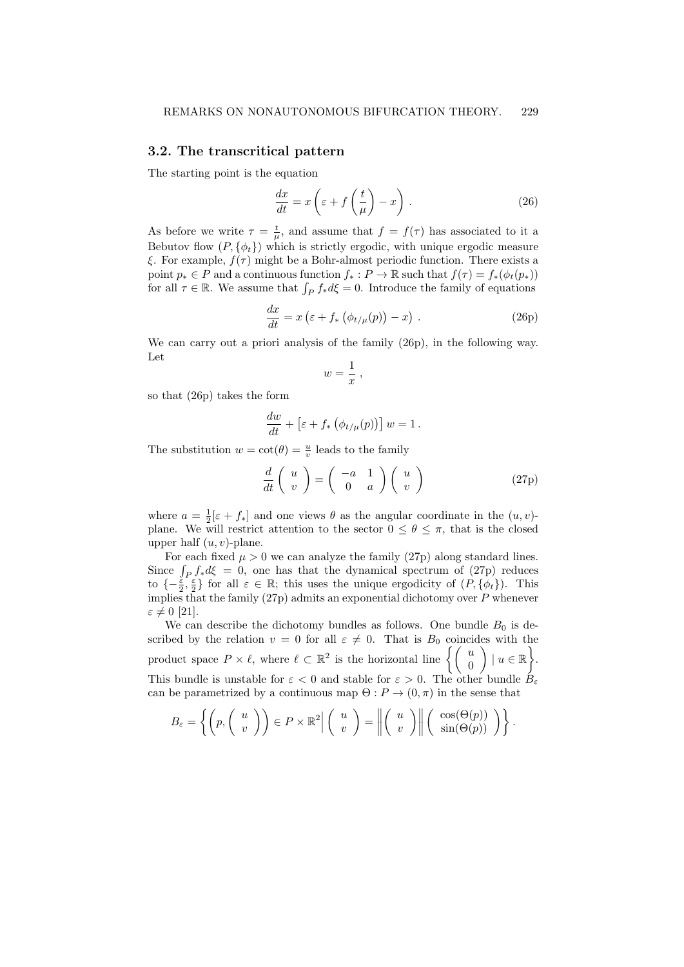#### 3.2. The transcritical pattern

The starting point is the equation

$$
\frac{dx}{dt} = x\left(\varepsilon + f\left(\frac{t}{\mu}\right) - x\right). \tag{26}
$$

As before we write  $\tau = \frac{t}{\mu}$ , and assume that  $f = f(\tau)$  has associated to it a Bebutov flow  $(P, \{\phi_t\})$  which is strictly ergodic, with unique ergodic measure ξ. For example,  $f(\tau)$  might be a Bohr-almost periodic function. There exists a point  $p_* \in P$  and a continuous function  $f_* : P \to \mathbb{R}$  such that  $f(\tau) = f_*(\phi_t(p_*))$ for all  $\tau \in \mathbb{R}$ . We assume that  $\int_P f_* d\xi = 0$ . Introduce the family of equations

$$
\frac{dx}{dt} = x \left( \varepsilon + f_* \left( \phi_{t/\mu}(p) \right) - x \right) . \tag{26p}
$$

We can carry out a priori analysis of the family (26p), in the following way. Let

$$
w=\frac{1}{x},
$$

so that (26p) takes the form

$$
\frac{dw}{dt} + \left[\varepsilon + f_* \left(\phi_{t/\mu}(p)\right)\right] w = 1.
$$

The substitution  $w = \cot(\theta) = \frac{u}{v}$  leads to the family

$$
\frac{d}{dt}\left(\begin{array}{c}u\\v\end{array}\right)=\left(\begin{array}{cc}-a&1\\0&a\end{array}\right)\left(\begin{array}{c}u\\v\end{array}\right)\tag{27p}
$$

where  $a = \frac{1}{2}[\varepsilon + f_*]$  and one views  $\theta$  as the angular coordinate in the  $(u, v)$ plane. We will restrict attention to the sector  $0 \le \theta \le \pi$ , that is the closed upper half  $(u, v)$ -plane.

For each fixed  $\mu > 0$  we can analyze the family (27p) along standard lines. Since  $\int_P f_* d\xi = 0$ , one has that the dynamical spectrum of (27p) reduces to  $\{-\frac{\varepsilon}{2}, \frac{\varepsilon}{2}\}\$  for all  $\varepsilon \in \mathbb{R}$ ; this uses the unique ergodicity of  $(P, \{\phi_t\})$ . This implies that the family  $(27p)$  admits an exponential dichotomy over P whenever  $\varepsilon \neq 0$  [21].

We can describe the dichotomy bundles as follows. One bundle  $B_0$  is described by the relation  $v = 0$  for all  $\varepsilon \neq 0$ . That is  $B_0$  coincides with the product space  $P \times \ell$ , where  $\ell \subset \mathbb{R}^2$  is the horizontal line  $\left\{ \begin{pmatrix} u \\ 0 \end{pmatrix} \right\}$  $\Big\}$  |  $u \in \mathbb{R}$ . This bundle is unstable for  $\varepsilon < 0$  and stable for  $\varepsilon > 0$ . The other bundle  $\tilde{B}_{\varepsilon}$ can be parametrized by a continuous map  $\Theta: P \to (0, \pi)$  in the sense that

$$
B_{\varepsilon} = \left\{ \left( p, \left( \begin{array}{c} u \\ v \end{array} \right) \right) \in P \times \mathbb{R}^2 \middle| \left( \begin{array}{c} u \\ v \end{array} \right) = \left\| \left( \begin{array}{c} u \\ v \end{array} \right) \right\| \left( \begin{array}{c} \cos(\Theta(p)) \\ \sin(\Theta(p)) \end{array} \right) \right\}.
$$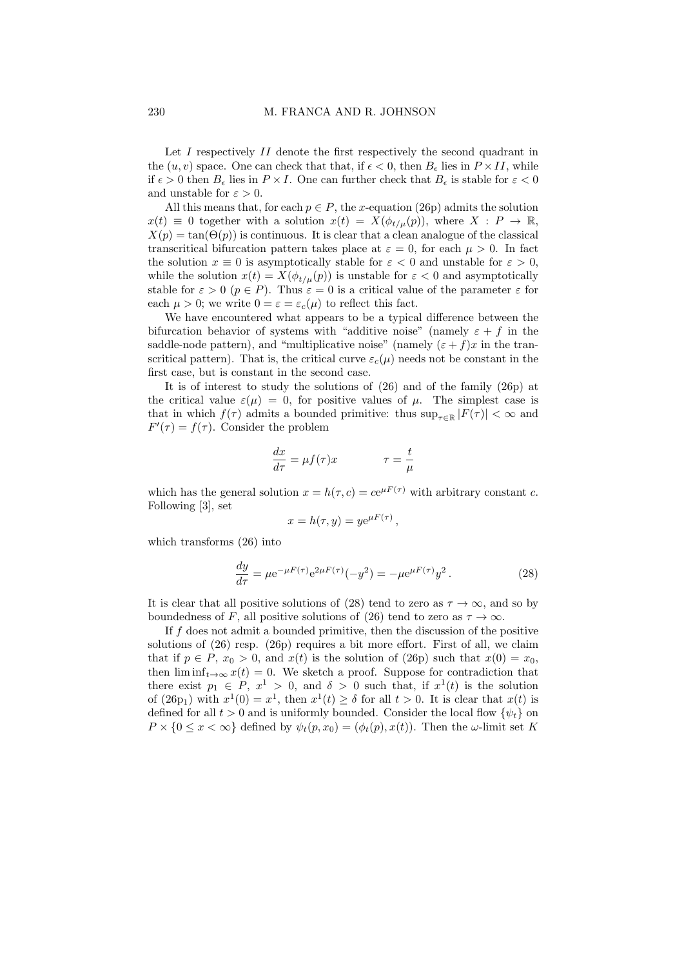Let  $I$  respectively  $II$  denote the first respectively the second quadrant in the  $(u, v)$  space. One can check that that, if  $\epsilon < 0$ , then  $B_{\epsilon}$  lies in  $P \times II$ , while if  $\epsilon > 0$  then  $B_{\epsilon}$  lies in  $P \times I$ . One can further check that  $B_{\epsilon}$  is stable for  $\varepsilon < 0$ and unstable for  $\varepsilon > 0$ .

All this means that, for each  $p \in P$ , the x-equation (26p) admits the solution  $x(t) \equiv 0$  together with a solution  $x(t) = X(\phi_{t/u}(p))$ , where  $X : P \to \mathbb{R}$ ,  $X(p) = \tan(\Theta(p))$  is continuous. It is clear that a clean analogue of the classical transcritical bifurcation pattern takes place at  $\varepsilon = 0$ , for each  $\mu > 0$ . In fact the solution  $x \equiv 0$  is asymptotically stable for  $\varepsilon < 0$  and unstable for  $\varepsilon > 0$ , while the solution  $x(t) = X(\phi_{t/u}(p))$  is unstable for  $\varepsilon < 0$  and asymptotically stable for  $\varepsilon > 0$   $(p \in P)$ . Thus  $\varepsilon = 0$  is a critical value of the parameter  $\varepsilon$  for each  $\mu > 0$ ; we write  $0 = \varepsilon = \varepsilon_c(\mu)$  to reflect this fact.

We have encountered what appears to be a typical difference between the bifurcation behavior of systems with "additive noise" (namely  $\varepsilon + f$  in the saddle-node pattern), and "multiplicative noise" (namely  $(\varepsilon + f)x$  in the transcritical pattern). That is, the critical curve  $\varepsilon_c(\mu)$  needs not be constant in the first case, but is constant in the second case.

It is of interest to study the solutions of (26) and of the family (26p) at the critical value  $\varepsilon(\mu) = 0$ , for positive values of  $\mu$ . The simplest case is that in which  $f(\tau)$  admits a bounded primitive: thus  $\sup_{\tau \in \mathbb{R}} |F(\tau)| < \infty$  and  $F'(\tau) = f(\tau)$ . Consider the problem

$$
\frac{dx}{d\tau} = \mu f(\tau)x \qquad \qquad \tau = \frac{t}{\mu}
$$

which has the general solution  $x = h(\tau, c) = ce^{\mu F(\tau)}$  with arbitrary constant c. Following [3], set

$$
x = h(\tau, y) = y e^{\mu F(\tau)},
$$

which transforms (26) into

$$
\frac{dy}{d\tau} = \mu e^{-\mu F(\tau)} e^{2\mu F(\tau)} (-y^2) = -\mu e^{\mu F(\tau)} y^2.
$$
 (28)

It is clear that all positive solutions of (28) tend to zero as  $\tau \to \infty$ , and so by boundedness of F, all positive solutions of (26) tend to zero as  $\tau \to \infty$ .

If f does not admit a bounded primitive, then the discussion of the positive solutions of (26) resp. (26p) requires a bit more effort. First of all, we claim that if  $p \in P$ ,  $x_0 > 0$ , and  $x(t)$  is the solution of (26p) such that  $x(0) = x_0$ , then  $\liminf_{t\to\infty} x(t) = 0$ . We sketch a proof. Suppose for contradiction that there exist  $p_1 \in P$ ,  $x^1 > 0$ , and  $\delta > 0$  such that, if  $x^1(t)$  is the solution of  $(26p_1)$  with  $x^1(0) = x^1$ , then  $x^1(t) \ge \delta$  for all  $t > 0$ . It is clear that  $x(t)$  is defined for all  $t > 0$  and is uniformly bounded. Consider the local flow  $\{\psi_t\}$  on  $P \times \{0 \leq x < \infty\}$  defined by  $\psi_t(p, x_0) = (\phi_t(p), x(t))$ . Then the  $\omega$ -limit set K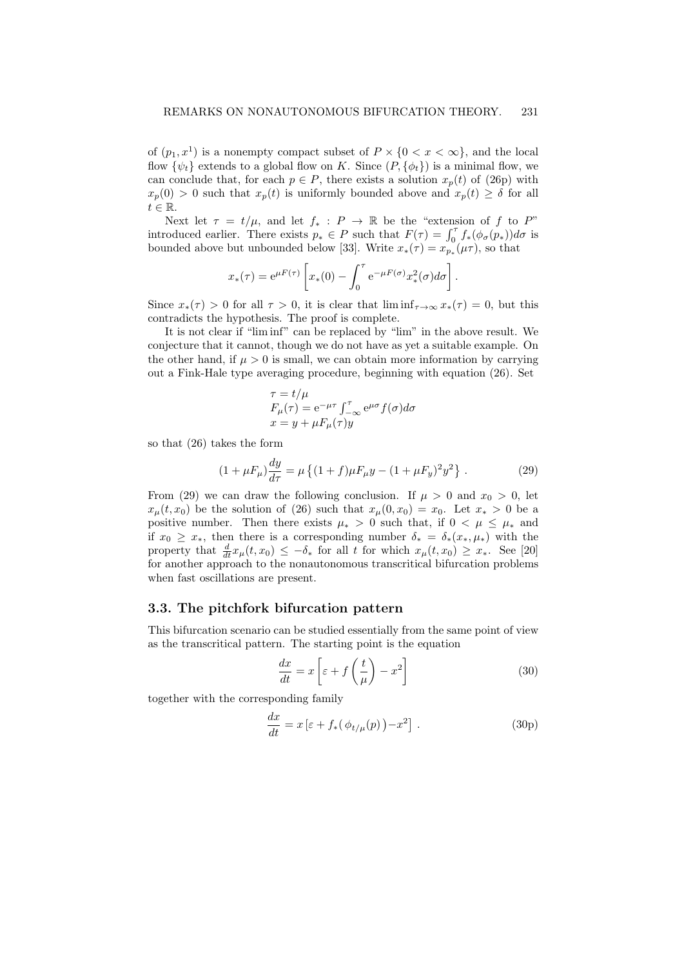of  $(p_1, x^1)$  is a nonempty compact subset of  $P \times \{0 \le x \le \infty\}$ , and the local flow  $\{\psi_t\}$  extends to a global flow on K. Since  $(P, \{\phi_t\})$  is a minimal flow, we can conclude that, for each  $p \in P$ , there exists a solution  $x_p(t)$  of (26p) with  $x_p(0) > 0$  such that  $x_p(t)$  is uniformly bounded above and  $x_p(t) \geq \delta$  for all  $t \in \mathbb{R}$ .

Next let  $\tau = t/\mu$ , and let  $f_* : P \to \mathbb{R}$  be the "extension of f to P" introduced earlier. There exists  $p_* \in P$  such that  $F(\tau) = \int_0^{\tau} f_*(\phi_{\sigma}(p_*)) d\sigma$  is bounded above but unbounded below [33]. Write  $x_*(\tau) = x_{p_*}(\mu \tau)$ , so that

$$
x_*(\tau) = e^{\mu F(\tau)} \left[ x_*(0) - \int_0^{\tau} e^{-\mu F(\sigma)} x_*^2(\sigma) d\sigma \right].
$$

Since  $x_*(\tau) > 0$  for all  $\tau > 0$ , it is clear that  $\liminf_{\tau \to \infty} x_*(\tau) = 0$ , but this contradicts the hypothesis. The proof is complete.

It is not clear if "lim inf" can be replaced by "lim" in the above result. We conjecture that it cannot, though we do not have as yet a suitable example. On the other hand, if  $\mu > 0$  is small, we can obtain more information by carrying out a Fink-Hale type averaging procedure, beginning with equation (26). Set

$$
\tau = t/\mu
$$
  
\n
$$
F_{\mu}(\tau) = e^{-\mu\tau} \int_{-\infty}^{\tau} e^{\mu\sigma} f(\sigma) d\sigma
$$
  
\n
$$
x = y + \mu F_{\mu}(\tau) y
$$

so that (26) takes the form

$$
(1 + \mu F_{\mu})\frac{dy}{d\tau} = \mu \left\{ (1 + f)\mu F_{\mu}y - (1 + \mu F_y)^2 y^2 \right\}. \tag{29}
$$

From (29) we can draw the following conclusion. If  $\mu > 0$  and  $x_0 > 0$ , let  $x_{\mu}(t, x_0)$  be the solution of (26) such that  $x_{\mu}(0, x_0) = x_0$ . Let  $x_* > 0$  be a positive number. Then there exists  $\mu_* > 0$  such that, if  $0 < \mu \leq \mu_*$  and if  $x_0 \geq x_*$ , then there is a corresponding number  $\delta_* = \delta_*(x_*, \mu_*)$  with the property that  $\frac{d}{dt}x_{\mu}(t,x_0) \leq -\delta_*$  for all t for which  $x_{\mu}(t,x_0) \geq x_*$ . See [20] for another approach to the nonautonomous transcritical bifurcation problems when fast oscillations are present.

# 3.3. The pitchfork bifurcation pattern

This bifurcation scenario can be studied essentially from the same point of view as the transcritical pattern. The starting point is the equation

$$
\frac{dx}{dt} = x \left[ \varepsilon + f\left(\frac{t}{\mu}\right) - x^2 \right] \tag{30}
$$

together with the corresponding family

$$
\frac{dx}{dt} = x \left[ \varepsilon + f_*(\phi_{t/\mu}(p)) - x^2 \right]. \tag{30p}
$$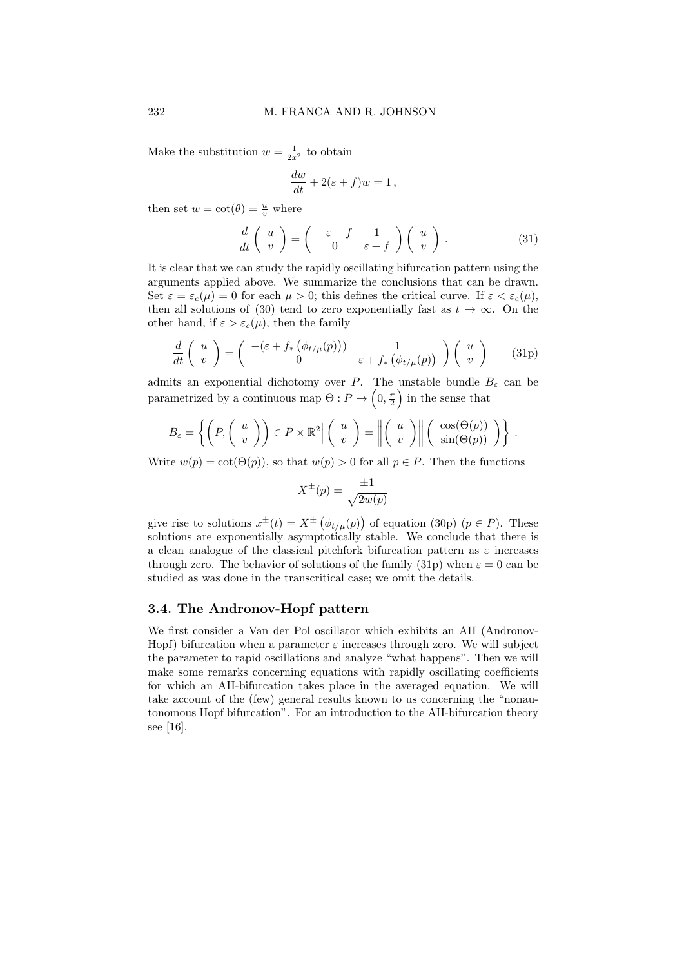Make the substitution  $w = \frac{1}{2x^2}$  to obtain

$$
\frac{dw}{dt} + 2(\varepsilon + f)w = 1,
$$

then set  $w = \cot(\theta) = \frac{u}{v}$  where

$$
\frac{d}{dt}\begin{pmatrix} u \\ v \end{pmatrix} = \begin{pmatrix} -\varepsilon - f & 1 \\ 0 & \varepsilon + f \end{pmatrix} \begin{pmatrix} u \\ v \end{pmatrix}.
$$
 (31)

It is clear that we can study the rapidly oscillating bifurcation pattern using the arguments applied above. We summarize the conclusions that can be drawn. Set  $\varepsilon = \varepsilon_c(\mu) = 0$  for each  $\mu > 0$ ; this defines the critical curve. If  $\varepsilon < \varepsilon_c(\mu)$ , then all solutions of (30) tend to zero exponentially fast as  $t \to \infty$ . On the other hand, if  $\varepsilon > \varepsilon_c(\mu)$ , then the family

$$
\frac{d}{dt}\begin{pmatrix} u \\ v \end{pmatrix} = \begin{pmatrix} -(\varepsilon + f_*(\phi_{t/\mu}(p))) & 1 \\ 0 & \varepsilon + f_*(\phi_{t/\mu}(p)) \end{pmatrix} \begin{pmatrix} u \\ v \end{pmatrix} \tag{31p}
$$

admits an exponential dichotomy over P. The unstable bundle  $B_{\varepsilon}$  can be parametrized by a continuous map  $\Theta: P \to \left(0, \frac{\pi}{2}\right)$  in the sense that

$$
B_{\varepsilon} = \left\{ \left( P, \left( \begin{array}{c} u \\ v \end{array} \right) \right) \in P \times \mathbb{R}^2 \middle| \left( \begin{array}{c} u \\ v \end{array} \right) = \left\| \left( \begin{array}{c} u \\ v \end{array} \right) \right\| \left( \begin{array}{c} \cos(\Theta(p)) \\ \sin(\Theta(p)) \end{array} \right) \right\}.
$$

Write  $w(p) = \cot(\Theta(p))$ , so that  $w(p) > 0$  for all  $p \in P$ . Then the functions

$$
X^{\pm}(p) = \frac{\pm 1}{\sqrt{2w(p)}}
$$

give rise to solutions  $x^{\pm}(t) = X^{\pm}(\phi_{t/\mu}(p))$  of equation (30p)  $(p \in P)$ . These solutions are exponentially asymptotically stable. We conclude that there is a clean analogue of the classical pitchfork bifurcation pattern as  $\varepsilon$  increases through zero. The behavior of solutions of the family (31p) when  $\varepsilon = 0$  can be studied as was done in the transcritical case; we omit the details.

# 3.4. The Andronov-Hopf pattern

We first consider a Van der Pol oscillator which exhibits an AH (Andronov-Hopf) bifurcation when a parameter  $\varepsilon$  increases through zero. We will subject the parameter to rapid oscillations and analyze "what happens". Then we will make some remarks concerning equations with rapidly oscillating coefficients for which an AH-bifurcation takes place in the averaged equation. We will take account of the (few) general results known to us concerning the "nonautonomous Hopf bifurcation". For an introduction to the AH-bifurcation theory see [16].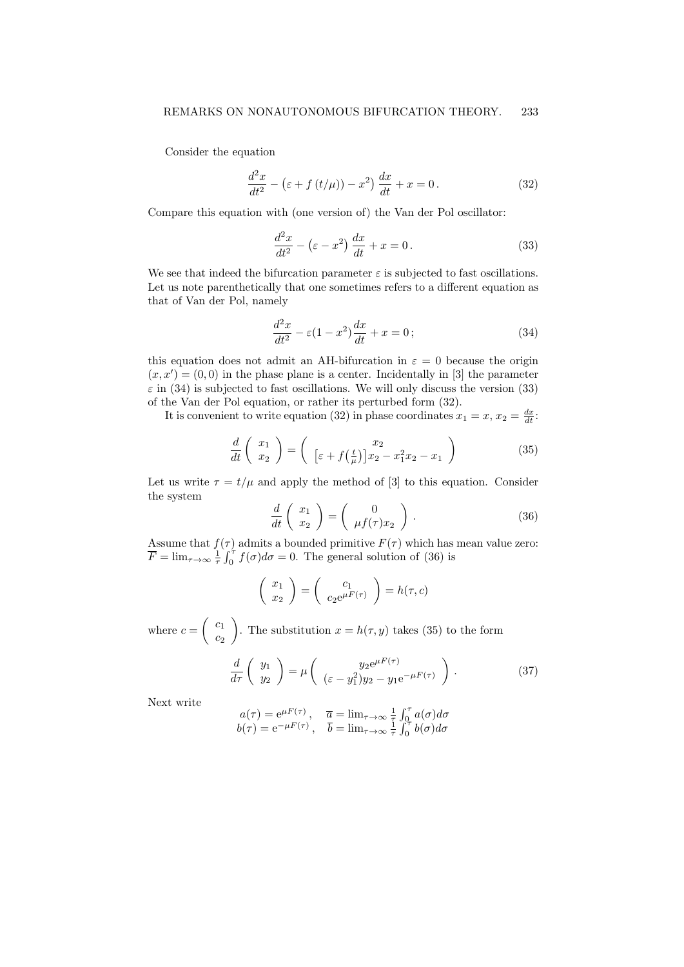Consider the equation

$$
\frac{d^2x}{dt^2} - \left(\varepsilon + f\left(t/\mu\right)\right) - x^2\right)\frac{dx}{dt} + x = 0.
$$
\n(32)

Compare this equation with (one version of) the Van der Pol oscillator:

$$
\frac{d^2x}{dt^2} - \left(\varepsilon - x^2\right)\frac{dx}{dt} + x = 0.
$$
\n(33)

We see that indeed the bifurcation parameter  $\varepsilon$  is subjected to fast oscillations. Let us note parenthetically that one sometimes refers to a different equation as that of Van der Pol, namely

$$
\frac{d^2x}{dt^2} - \varepsilon(1-x^2)\frac{dx}{dt} + x = 0;
$$
\n(34)

this equation does not admit an AH-bifurcation in  $\varepsilon = 0$  because the origin  $(x, x') = (0, 0)$  in the phase plane is a center. Incidentally in [3] the parameter  $\varepsilon$  in (34) is subjected to fast oscillations. We will only discuss the version (33) of the Van der Pol equation, or rather its perturbed form (32).

It is convenient to write equation (32) in phase coordinates  $x_1 = x, x_2 = \frac{dx}{dt}$ .

$$
\frac{d}{dt}\begin{pmatrix} x_1\\ x_2 \end{pmatrix} = \begin{pmatrix} x_2\\ \left[\varepsilon + f\left(\frac{t}{\mu}\right)\right]x_2 - x_1^2 x_2 - x_1 \end{pmatrix}
$$
\n(35)

Let us write  $\tau = t/\mu$  and apply the method of [3] to this equation. Consider the system

$$
\frac{d}{dt}\begin{pmatrix} x_1 \\ x_2 \end{pmatrix} = \begin{pmatrix} 0 \\ \mu f(\tau)x_2 \end{pmatrix}.
$$
 (36)

Assume that  $f(\tau)$  admits a bounded primitive  $F(\tau)$  which has mean value zero:  $\overline{F} = \lim_{\tau \to \infty} \frac{1}{\tau} \int_0^{\tau} f(\sigma) d\sigma = 0$ . The general solution of (36) is

$$
\left(\begin{array}{c} x_1 \\ x_2 \end{array}\right) = \left(\begin{array}{c} c_1 \\ c_2 e^{\mu F(\tau)} \end{array}\right) = h(\tau, c)
$$

where  $c = \begin{pmatrix} c_1 \\ c_2 \end{pmatrix}$  $\overline{c_2}$ ). The substitution  $x = h(\tau, y)$  takes (35) to the form

$$
\frac{d}{d\tau}\begin{pmatrix}y_1\\y_2\end{pmatrix} = \mu\begin{pmatrix}y_2e^{\mu F(\tau)}\\(\varepsilon - y_1^2)y_2 - y_1e^{-\mu F(\tau)}\end{pmatrix}.
$$
\n(37)

Next write

$$
\begin{array}{ll}\na(\tau)=\mathrm{e}^{\mu F(\tau)}\,,&\overline{a}=\lim_{\tau\rightarrow\infty}\frac{1}{\tau}\int_0^\tau a(\sigma)d\sigma\\ b(\tau)=\mathrm{e}^{-\mu F(\tau)}\,,&\overline{b}=\lim_{\tau\rightarrow\infty}\frac{1}{\tau}\int_0^\tau b(\sigma)d\sigma\end{array}
$$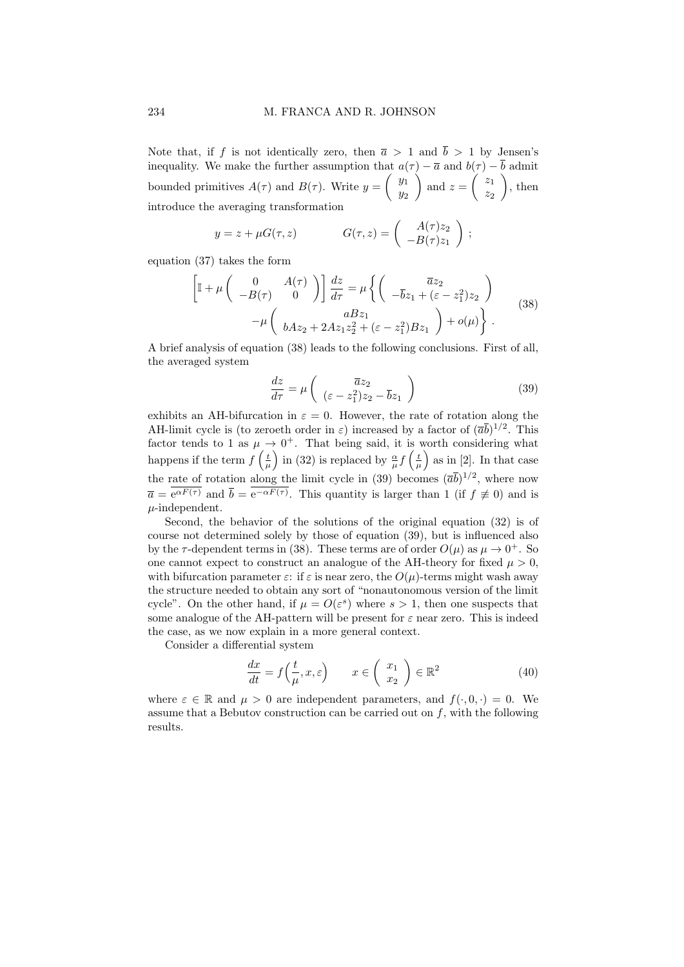Note that, if f is not identically zero, then  $\bar{a} > 1$  and  $\bar{b} > 1$  by Jensen's inequality. We make the further assumption that  $a(\tau) - \bar{a}$  and  $b(\tau) - \bar{b}$  admit bounded primitives  $A(\tau)$  and  $B(\tau)$ . Write  $y = \begin{pmatrix} y_1 \\ y_2 \end{pmatrix}$  $y_2$ ) and  $z = \begin{pmatrix} z_1 \\ z_2 \end{pmatrix}$  $z_2$  $\Big)$ , then introduce the averaging transformation

$$
y = z + \mu G(\tau, z) \qquad G(\tau, z) = \begin{pmatrix} A(\tau)z_2 \\ -B(\tau)z_1 \end{pmatrix};
$$

equation (37) takes the form

$$
\begin{bmatrix}\n\mathbb{I} + \mu \begin{pmatrix} 0 & A(\tau) \\
-B(\tau) & 0 \end{pmatrix}\n\end{bmatrix}\n\frac{dz}{d\tau} = \mu \left\{\n\begin{pmatrix} \overline{a}z_2 \\
-\overline{b}z_1 + (\varepsilon - z_1^2)z_2\n\end{pmatrix} - \mu \begin{pmatrix} aBz_1 \\
bAz_2 + 2Az_1z_2^2 + (\varepsilon - z_1^2)Bz_1\n\end{pmatrix} + o(\mu)\n\right\}.
$$
\n(38)

A brief analysis of equation (38) leads to the following conclusions. First of all, the averaged system

$$
\frac{dz}{d\tau} = \mu \left( \frac{\overline{a}z_2}{(\varepsilon - z_1^2)z_2 - \overline{b}z_1} \right)
$$
(39)

exhibits an AH-bifurcation in  $\varepsilon = 0$ . However, the rate of rotation along the AH-limit cycle is (to zeroeth order in  $\varepsilon$ ) increased by a factor of  $(\overline{a}\overline{b})^{1/2}$ . This factor tends to 1 as  $\mu \to 0^+$ . That being said, it is worth considering what happens if the term  $f\left(\frac{t}{\mu}\right)$  in (32) is replaced by  $\frac{\alpha}{\mu} f\left(\frac{t}{\mu}\right)$  as in [2]. In that case the rate of rotation along the limit cycle in (39) becomes  $(\overline{a}\overline{b})^{1/2}$ , where now  $\overline{a} = e^{\alpha F(\tau)}$  and  $\overline{b} = e^{-\alpha F(\tau)}$ . This quantity is larger than 1 (if  $f \neq 0$ ) and is  $\mu$ -independent.

Second, the behavior of the solutions of the original equation (32) is of course not determined solely by those of equation (39), but is influenced also by the  $\tau$ -dependent terms in (38). These terms are of order  $O(\mu)$  as  $\mu \to 0^+$ . So one cannot expect to construct an analogue of the AH-theory for fixed  $\mu > 0$ , with bifurcation parameter  $\varepsilon$ : if  $\varepsilon$  is near zero, the  $O(\mu)$ -terms might wash away the structure needed to obtain any sort of "nonautonomous version of the limit cycle". On the other hand, if  $\mu = O(\varepsilon^s)$  where  $s > 1$ , then one suspects that some analogue of the AH-pattern will be present for  $\varepsilon$  near zero. This is indeed the case, as we now explain in a more general context.

Consider a differential system

$$
\frac{dx}{dt} = f\left(\frac{t}{\mu}, x, \varepsilon\right) \qquad x \in \left(\begin{array}{c} x_1 \\ x_2 \end{array}\right) \in \mathbb{R}^2 \tag{40}
$$

where  $\varepsilon \in \mathbb{R}$  and  $\mu > 0$  are independent parameters, and  $f(\cdot, 0, \cdot) = 0$ . We assume that a Bebutov construction can be carried out on  $f$ , with the following results.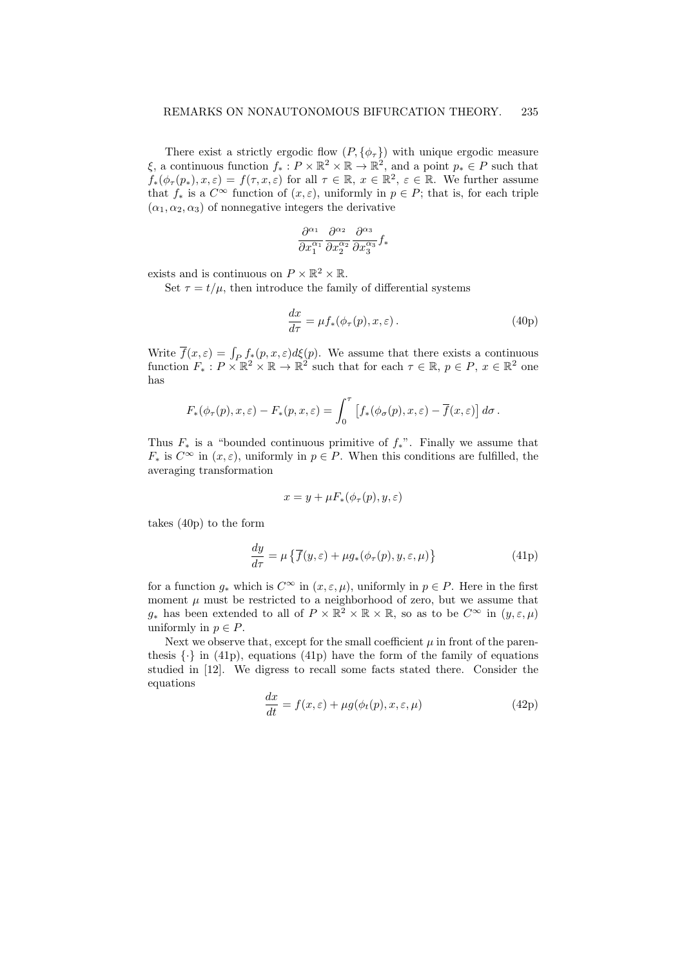There exist a strictly ergodic flow  $(P, \{\phi_{\tau}\})$  with unique ergodic measure  $\xi$ , a continuous function  $f_*: P \times \mathbb{R}^2 \times \mathbb{R} \to \mathbb{R}^2$ , and a point  $p_* \in P$  such that  $f_*(\phi_\tau(p_*), x, \varepsilon) = f(\tau, x, \varepsilon)$  for all  $\tau \in \mathbb{R}, x \in \mathbb{R}^2, \varepsilon \in \mathbb{R}$ . We further assume that  $f_*$  is a  $C^{\infty}$  function of  $(x, \varepsilon)$ , uniformly in  $p \in P$ ; that is, for each triple  $(\alpha_1, \alpha_2, \alpha_3)$  of nonnegative integers the derivative

$$
\frac{\partial^{\alpha_1}}{\partial x_1^{\alpha_1}} \frac{\partial^{\alpha_2}}{\partial x_2^{\alpha_2}} \frac{\partial^{\alpha_3}}{\partial x_3^{\alpha_3}} f_*
$$

exists and is continuous on  $P \times \mathbb{R}^2 \times \mathbb{R}$ .

Set  $\tau = t/\mu$ , then introduce the family of differential systems

$$
\frac{dx}{d\tau} = \mu f_*(\phi_\tau(p), x, \varepsilon). \tag{40p}
$$

Write  $\overline{f}(x,\varepsilon) = \int_P f_*(p,x,\varepsilon)d\xi(p)$ . We assume that there exists a continuous function  $F_*: P \times \mathbb{R}^2 \times \mathbb{R} \to \mathbb{R}^2$  such that for each  $\tau \in \mathbb{R}, p \in P, x \in \mathbb{R}^2$  one has

$$
F_*(\phi_\tau(p), x, \varepsilon) - F_*(p, x, \varepsilon) = \int_0^\tau \left[ f_*(\phi_\sigma(p), x, \varepsilon) - \overline{f}(x, \varepsilon) \right] d\sigma.
$$

Thus  $F_*$  is a "bounded continuous primitive of  $f_*$ ". Finally we assume that  $F_*$  is  $C^{\infty}$  in  $(x,\varepsilon)$ , uniformly in  $p \in P$ . When this conditions are fulfilled, the averaging transformation

$$
x = y + \mu F_*(\phi_\tau(p), y, \varepsilon)
$$

takes (40p) to the form

$$
\frac{dy}{d\tau} = \mu \left\{ \overline{f}(y,\varepsilon) + \mu g_*(\phi_\tau(p), y, \varepsilon, \mu) \right\}
$$
\n(41p)

for a function  $g_*$  which is  $C^{\infty}$  in  $(x, \varepsilon, \mu)$ , uniformly in  $p \in P$ . Here in the first moment  $\mu$  must be restricted to a neighborhood of zero, but we assume that  $g_*$  has been extended to all of  $P \times \mathbb{R}^2 \times \mathbb{R} \times \mathbb{R}$ , so as to be  $C^{\infty}$  in  $(y,\varepsilon,\mu)$ uniformly in  $p \in P$ .

Next we observe that, except for the small coefficient  $\mu$  in front of the parenthesis  $\{\cdot\}$  in (41p), equations (41p) have the form of the family of equations studied in [12]. We digress to recall some facts stated there. Consider the equations

$$
\frac{dx}{dt} = f(x,\varepsilon) + \mu g(\phi_t(p), x, \varepsilon, \mu)
$$
\n(42p)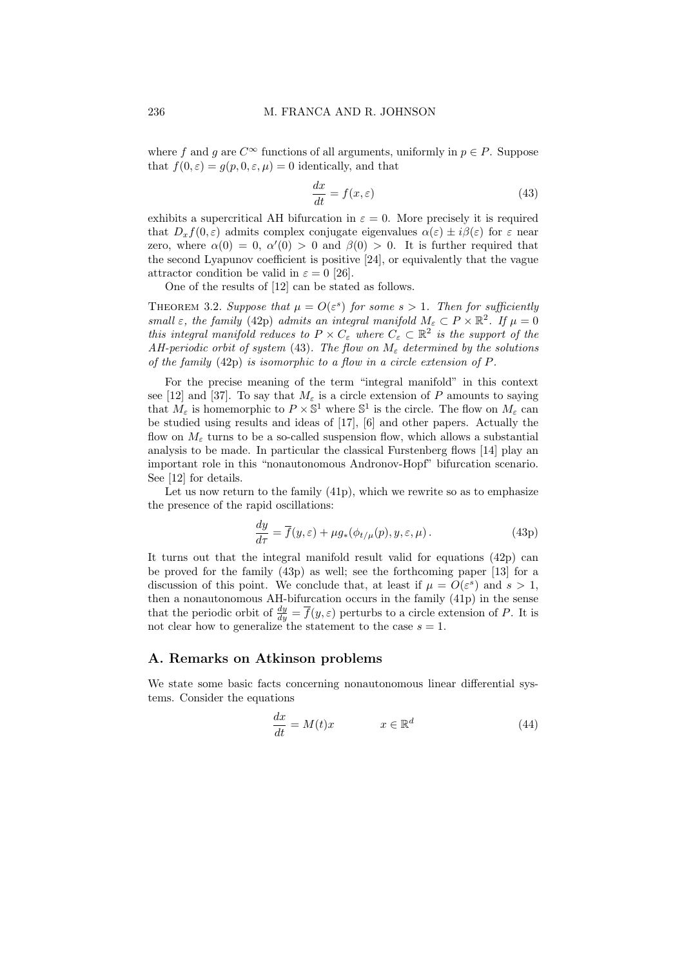where f and g are  $C^{\infty}$  functions of all arguments, uniformly in  $p \in P$ . Suppose that  $f(0, \varepsilon) = g(p, 0, \varepsilon, \mu) = 0$  identically, and that

$$
\frac{dx}{dt} = f(x,\varepsilon) \tag{43}
$$

exhibits a supercritical AH bifurcation in  $\varepsilon = 0$ . More precisely it is required that  $D_x f(0, \varepsilon)$  admits complex conjugate eigenvalues  $\alpha(\varepsilon) \pm i\beta(\varepsilon)$  for  $\varepsilon$  near zero, where  $\alpha(0) = 0$ ,  $\alpha'(0) > 0$  and  $\beta(0) > 0$ . It is further required that the second Lyapunov coefficient is positive [24], or equivalently that the vague attractor condition be valid in  $\varepsilon = 0$  [26].

One of the results of [12] can be stated as follows.

THEOREM 3.2. Suppose that  $\mu = O(\varepsilon^s)$  for some  $s > 1$ . Then for sufficiently small  $\varepsilon$ , the family (42p) admits an integral manifold  $M_{\varepsilon} \subset P \times \mathbb{R}^2$ . If  $\mu = 0$ this integral manifold reduces to  $P \times C_{\varepsilon}$  where  $C_{\varepsilon} \subset \mathbb{R}^2$  is the support of the AH-periodic orbit of system (43). The flow on  $M_{\varepsilon}$  determined by the solutions of the family (42p) is isomorphic to a flow in a circle extension of P.

For the precise meaning of the term "integral manifold" in this context see [12] and [37]. To say that  $M_{\varepsilon}$  is a circle extension of P amounts to saying that  $M_{\varepsilon}$  is homemorphic to  $P \times \mathbb{S}^1$  where  $\mathbb{S}^1$  is the circle. The flow on  $M_{\varepsilon}$  can be studied using results and ideas of [17], [6] and other papers. Actually the flow on  $M_{\varepsilon}$  turns to be a so-called suspension flow, which allows a substantial analysis to be made. In particular the classical Furstenberg flows [14] play an important role in this "nonautonomous Andronov-Hopf" bifurcation scenario. See [12] for details.

Let us now return to the family  $(41p)$ , which we rewrite so as to emphasize the presence of the rapid oscillations:

$$
\frac{dy}{d\tau} = \overline{f}(y,\varepsilon) + \mu g_*(\phi_{t/\mu}(p), y, \varepsilon, \mu).
$$
 (43p)

It turns out that the integral manifold result valid for equations (42p) can be proved for the family (43p) as well; see the forthcoming paper [13] for a discussion of this point. We conclude that, at least if  $\mu = O(\varepsilon^s)$  and  $s > 1$ , then a nonautonomous AH-bifurcation occurs in the family (41p) in the sense that the periodic orbit of  $\frac{dy}{dy} = \overline{f}(y,\varepsilon)$  perturbs to a circle extension of P. It is not clear how to generalize the statement to the case  $s = 1$ .

# A. Remarks on Atkinson problems

We state some basic facts concerning nonautonomous linear differential systems. Consider the equations

$$
\frac{dx}{dt} = M(t)x \qquad x \in \mathbb{R}^d \tag{44}
$$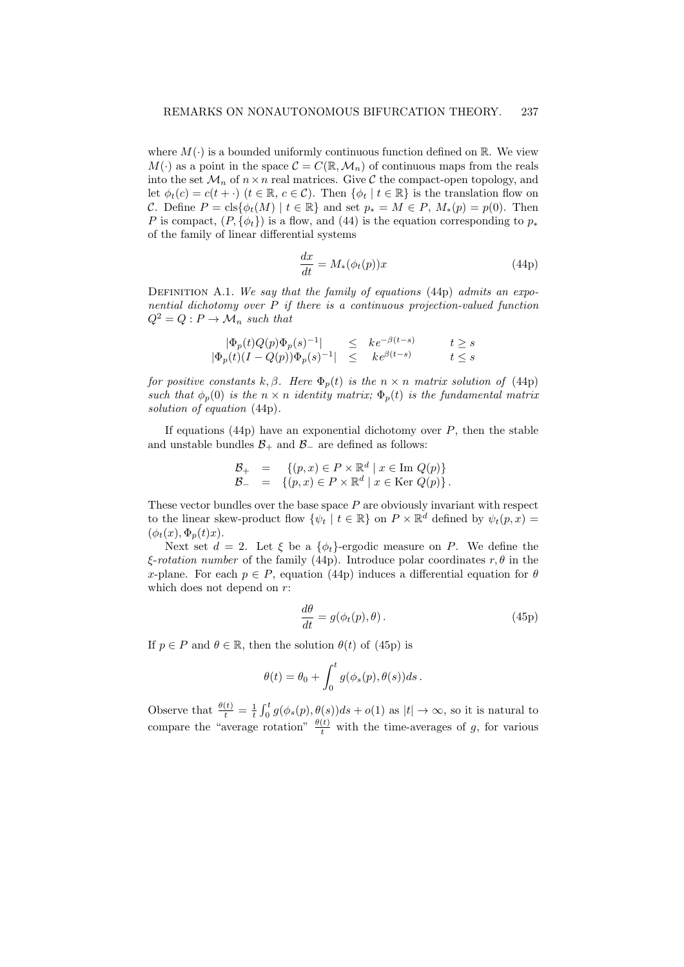where  $M(\cdot)$  is a bounded uniformly continuous function defined on R. We view  $M(\cdot)$  as a point in the space  $\mathcal{C} = C(\mathbb{R}, \mathcal{M}_n)$  of continuous maps from the reals into the set  $\mathcal{M}_n$  of  $n \times n$  real matrices. Give C the compact-open topology, and let  $\phi_t(c) = c(t + \cdot)$   $(t \in \mathbb{R}, c \in \mathcal{C})$ . Then  $\{\phi_t | t \in \mathbb{R}\}\)$  is the translation flow on C. Define  $P = \text{cls}\{\phi_t(M) \mid t \in \mathbb{R}\}\$ and set  $p_* = M \in P$ ,  $M_*(p) = p(0)$ . Then P is compact,  $(P, \{\phi_t\})$  is a flow, and (44) is the equation corresponding to  $p_*$ of the family of linear differential systems

$$
\frac{dx}{dt} = M_*(\phi_t(p))x\tag{44p}
$$

DEFINITION A.1. We say that the family of equations (44p) admits an exponential dichotomy over P if there is a continuous projection-valued function  $Q^2 = Q : P \to \mathcal{M}_n$  such that

$$
\begin{array}{rcl}\n|\Phi_p(t)Q(p)\Phi_p(s)^{-1}| & \leq & ke^{-\beta(t-s)} & t \geq s \\
|\Phi_p(t)(I-Q(p))\Phi_p(s)^{-1}| & \leq & ke^{\beta(t-s)} & t \leq s\n\end{array}
$$

for positive constants k,  $\beta$ . Here  $\Phi_p(t)$  is the  $n \times n$  matrix solution of (44p) such that  $\phi_p(0)$  is the  $n \times n$  identity matrix;  $\Phi_p(t)$  is the fundamental matrix solution of equation (44p).

If equations (44p) have an exponential dichotomy over  $P$ , then the stable and unstable bundles  $\mathcal{B}_+$  and  $\mathcal{B}_-$  are defined as follows:

$$
\begin{array}{rcl}\n\mathcal{B}_+ & = & \left\{(p,x) \in P \times \mathbb{R}^d \mid x \in \text{Im } Q(p)\right\} \\
\mathcal{B}_- & = & \left\{(p,x) \in P \times \mathbb{R}^d \mid x \in \text{Ker } Q(p)\right\}.\n\end{array}
$$

These vector bundles over the base space  $P$  are obviously invariant with respect to the linear skew-product flow  $\{\psi_t \mid t \in \mathbb{R}\}$  on  $P \times \mathbb{R}^d$  defined by  $\psi_t(p, x) =$  $(\phi_t(x), \Phi_p(t)x).$ 

Next set  $d = 2$ . Let  $\xi$  be a  $\{\phi_t\}$ -ergodic measure on P. We define the  $\xi$ -rotation number of the family (44p). Introduce polar coordinates r,  $\theta$  in the x-plane. For each  $p \in P$ , equation (44p) induces a differential equation for  $\theta$ which does not depend on  $r$ :

$$
\frac{d\theta}{dt} = g(\phi_t(p), \theta). \tag{45p}
$$

If  $p \in P$  and  $\theta \in \mathbb{R}$ , then the solution  $\theta(t)$  of (45p) is

$$
\theta(t) = \theta_0 + \int_0^t g(\phi_s(p), \theta(s))ds.
$$

Observe that  $\frac{\theta(t)}{t} = \frac{1}{t} \int_0^t g(\phi_s(p), \theta(s))ds + o(1)$  as  $|t| \to \infty$ , so it is natural to compare the "average rotation"  $\frac{\theta(t)}{t}$  with the time-averages of g, for various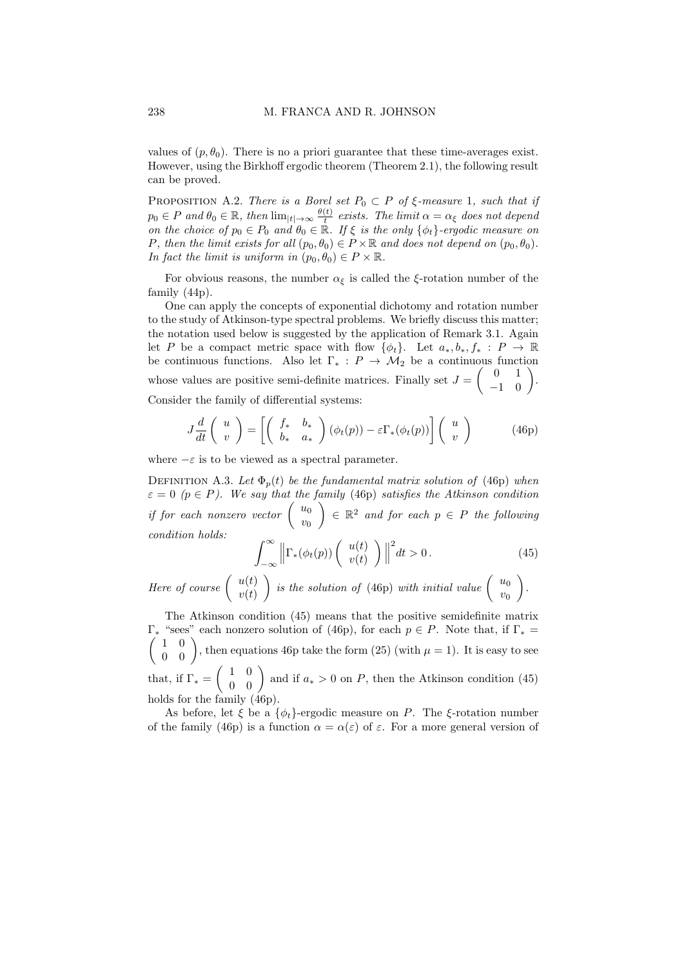values of  $(p, \theta_0)$ . There is no a priori guarantee that these time-averages exist. However, using the Birkhoff ergodic theorem (Theorem 2.1), the following result can be proved.

PROPOSITION A.2. There is a Borel set  $P_0 \subset P$  of  $\xi$ -measure 1, such that if  $p_0 \in P$  and  $\theta_0 \in \mathbb{R}$ , then  $\lim_{|t| \to \infty} \frac{\theta(t)}{t}$  $\frac{\partial(t)}{\partial t}$  exists. The limit  $\alpha = \alpha_{\xi}$  does not depend on the choice of  $p_0 \in P_0$  and  $\theta_0 \in \mathbb{R}$ . If  $\xi$  is the only  $\{\phi_t\}$ -ergodic measure on P, then the limit exists for all  $(p_0, \theta_0) \in P \times \mathbb{R}$  and does not depend on  $(p_0, \theta_0)$ . In fact the limit is uniform in  $(p_0, \theta_0) \in P \times \mathbb{R}$ .

For obvious reasons, the number  $\alpha_{\xi}$  is called the  $\xi$ -rotation number of the family (44p).

One can apply the concepts of exponential dichotomy and rotation number to the study of Atkinson-type spectral problems. We briefly discuss this matter; the notation used below is suggested by the application of Remark 3.1. Again let P be a compact metric space with flow  $\{\phi_t\}$ . Let  $a_*, b_*, f_* : P \to \mathbb{R}$ be continuous functions. Also let  $\Gamma_* : P \to M_2$  be a continuous function whose values are positive semi-definite matrices. Finally set  $J = \begin{pmatrix} 0 & 1 \\ -1 & 0 \end{pmatrix}$ . Consider the family of differential systems:

$$
J\frac{d}{dt}\begin{pmatrix} u \\ v \end{pmatrix} = \left[ \begin{pmatrix} f_* & b_* \\ b_* & a_* \end{pmatrix} (\phi_t(p)) - \varepsilon \Gamma_*(\phi_t(p)) \right] \begin{pmatrix} u \\ v \end{pmatrix}
$$
 (46p)

where  $-\varepsilon$  is to be viewed as a spectral parameter.

DEFINITION A.3. Let  $\Phi_p(t)$  be the fundamental matrix solution of (46p) when  $\varepsilon = 0$  ( $p \in P$ ). We say that the family (46p) satisfies the Atkinson condition if for each nonzero vector  $\begin{pmatrix} u_0 \\ u_1 \end{pmatrix}$  $v_0$  $\Big) \in \mathbb{R}^2$  and for each  $p \in P$  the following condition holds:

$$
\int_{-\infty}^{\infty} \left\| \Gamma_*(\phi_t(p)) \begin{pmatrix} u(t) \\ v(t) \end{pmatrix} \right\|^2 dt > 0.
$$
 (45)

Here of course  $\begin{pmatrix} u(t) \\ u(t) \end{pmatrix}$  $v(t)$ is the solution of (46p) with initial value  $\begin{pmatrix} u_0 \\ u_1 \end{pmatrix}$  $v_0$ .

The Atkinson condition (45) means that the positive semidefinite matrix  $\Gamma_*$  "sees" each nonzero solution of (46p), for each  $p \in P$ . Note that, if  $\Gamma_* =$  $\begin{pmatrix} 1 & 0 \\ 0 & 0 \end{pmatrix}$ , then equations 46p take the form (25) (with  $\mu = 1$ ). It is easy to see that, if  $\Gamma_* = \begin{pmatrix} 1 & 0 \\ 0 & 0 \end{pmatrix}$  and if  $a_* > 0$  on P, then the Atkinson condition (45)

holds for the family  $(46p)$ . As before, let  $\xi$  be a  $\{\phi_t\}$ -ergodic measure on P. The  $\xi$ -rotation number of the family (46p) is a function  $\alpha = \alpha(\varepsilon)$  of  $\varepsilon$ . For a more general version of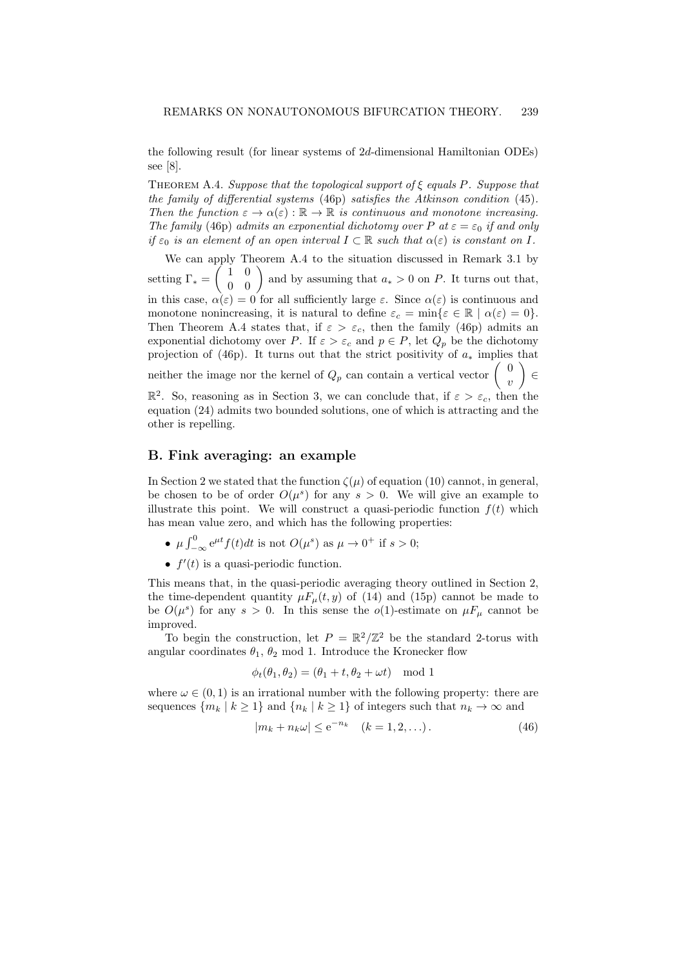the following result (for linear systems of 2d-dimensional Hamiltonian ODEs) see [8].

THEOREM A.4. Suppose that the topological support of  $\xi$  equals P. Suppose that the family of differential systems (46p) satisfies the Atkinson condition (45). Then the function  $\varepsilon \to \alpha(\varepsilon) : \mathbb{R} \to \mathbb{R}$  is continuous and monotone increasing. The family (46p) admits an exponential dichotomy over P at  $\varepsilon = \varepsilon_0$  if and only if  $\varepsilon_0$  is an element of an open interval  $I \subset \mathbb{R}$  such that  $\alpha(\varepsilon)$  is constant on I.

We can apply Theorem A.4 to the situation discussed in Remark 3.1 by setting  $\Gamma_* = \begin{pmatrix} 1 & 0 \\ 0 & 0 \end{pmatrix}$  and by assuming that  $a_* > 0$  on P. It turns out that, in this case,  $\alpha(\varepsilon) = 0$  for all sufficiently large  $\varepsilon$ . Since  $\alpha(\varepsilon)$  is continuous and monotone nonincreasing, it is natural to define  $\varepsilon_c = \min\{\varepsilon \in \mathbb{R} \mid \alpha(\varepsilon) = 0\}.$ Then Theorem A.4 states that, if  $\varepsilon > \varepsilon_c$ , then the family (46p) admits an exponential dichotomy over P. If  $\varepsilon > \varepsilon_c$  and  $p \in P$ , let  $Q_p$  be the dichotomy projection of (46p). It turns out that the strict positivity of  $a_*$  implies that neither the image nor the kernel of  $Q_p$  can contain a vertical vector  $\begin{pmatrix} 0 \\ 0 \end{pmatrix}$ v ∈  $\mathbb{R}^2$ . So, reasoning as in Section 3, we can conclude that, if  $\varepsilon > \varepsilon_c$ , then the equation (24) admits two bounded solutions, one of which is attracting and the

#### B. Fink averaging: an example

other is repelling.

In Section 2 we stated that the function  $\zeta(\mu)$  of equation (10) cannot, in general, be chosen to be of order  $O(\mu^s)$  for any  $s > 0$ . We will give an example to illustrate this point. We will construct a quasi-periodic function  $f(t)$  which has mean value zero, and which has the following properties:

- $\mu \int_{-\infty}^{0} e^{\mu t} f(t) dt$  is not  $O(\mu^s)$  as  $\mu \to 0^+$  if  $s > 0$ ;
- $f'(t)$  is a quasi-periodic function.

This means that, in the quasi-periodic averaging theory outlined in Section 2, the time-dependent quantity  $\mu F_{\mu}(t, y)$  of (14) and (15p) cannot be made to be  $O(\mu^s)$  for any  $s > 0$ . In this sense the  $o(1)$ -estimate on  $\mu F_\mu$  cannot be improved.

To begin the construction, let  $P = \mathbb{R}^2/\mathbb{Z}^2$  be the standard 2-torus with angular coordinates  $\theta_1$ ,  $\theta_2$  mod 1. Introduce the Kronecker flow

$$
\phi_t(\theta_1, \theta_2) = (\theta_1 + t, \theta_2 + \omega t) \mod 1
$$

where  $\omega \in (0, 1)$  is an irrational number with the following property: there are sequences  $\{m_k | k \geq 1\}$  and  $\{n_k | k \geq 1\}$  of integers such that  $n_k \to \infty$  and

$$
|m_k + n_k \omega| \le e^{-n_k} \quad (k = 1, 2, \ldots). \tag{46}
$$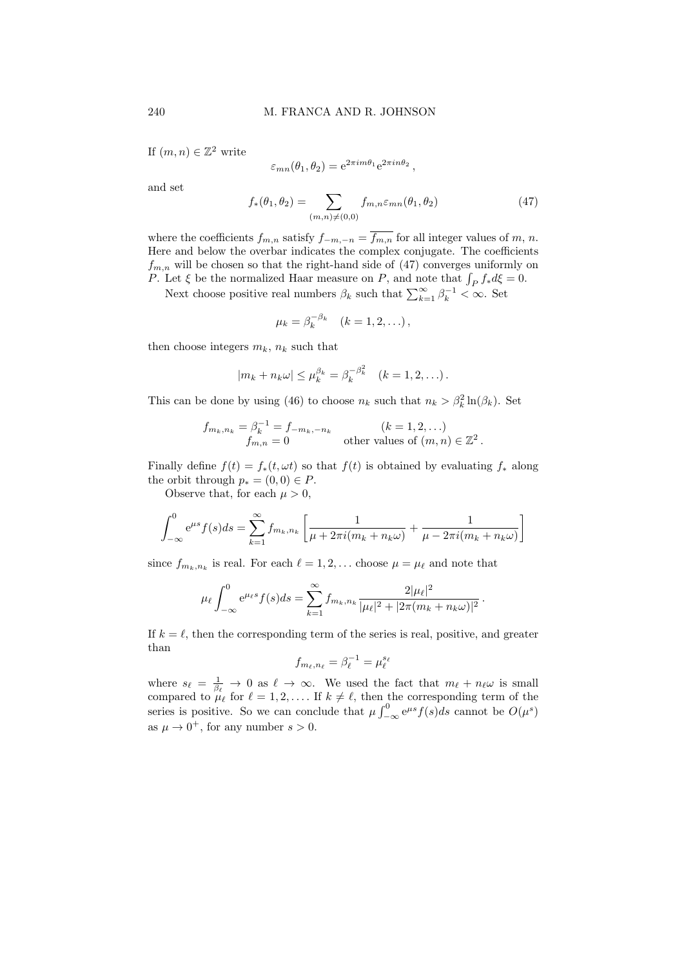If  $(m, n) \in \mathbb{Z}^2$  write

$$
\varepsilon_{mn}(\theta_1, \theta_2) = e^{2\pi i m \theta_1} e^{2\pi i n \theta_2},
$$

and set

$$
f_*(\theta_1, \theta_2) = \sum_{(m,n)\neq(0,0)} f_{m,n} \varepsilon_{mn}(\theta_1, \theta_2)
$$
 (47)

where the coefficients  $f_{m,n}$  satisfy  $f_{-m,-n} = f_{m,n}$  for all integer values of m, n. Here and below the overbar indicates the complex conjugate. The coefficients  $f_{m,n}$  will be chosen so that the right-hand side of (47) converges uniformly on P. Let  $\xi$  be the normalized Haar measure on P, and note that  $\int_P f_* d\xi = 0$ .

Next choose positive real numbers  $\beta_k$  such that  $\sum_{k=1}^{\infty} \beta_k^{-1} < \infty$ . Set

$$
\mu_k = \beta_k^{-\beta_k} \quad (k = 1, 2, \ldots),
$$

then choose integers  $m_k$ ,  $n_k$  such that

$$
|m_k + n_k \omega| \leq \mu_k^{\beta_k} = \beta_k^{-\beta_k^2} \quad (k = 1, 2, \ldots).
$$

This can be done by using (46) to choose  $n_k$  such that  $n_k > \beta_k^2 \ln(\beta_k)$ . Set

$$
f_{m_k, n_k} = \beta_k^{-1} = f_{-m_k, -n_k}
$$
   
\n $f_{m,n} = 0$  (k = 1, 2, ...)   
\nother values of  $(m, n) \in \mathbb{Z}^2$ .

Finally define  $f(t) = f_*(t, \omega t)$  so that  $f(t)$  is obtained by evaluating  $f_*$  along the orbit through  $p_*(0,0) \in P$ .

Observe that, for each  $\mu > 0$ ,

$$
\int_{-\infty}^{0} e^{\mu s} f(s) ds = \sum_{k=1}^{\infty} f_{m_k, n_k} \left[ \frac{1}{\mu + 2\pi i (m_k + n_k \omega)} + \frac{1}{\mu - 2\pi i (m_k + n_k \omega)} \right]
$$

since  $f_{m_k, n_k}$  is real. For each  $\ell = 1, 2, \ldots$  choose  $\mu = \mu_\ell$  and note that

$$
\mu_{\ell} \int_{-\infty}^{0} e^{\mu_{\ell} s} f(s) ds = \sum_{k=1}^{\infty} f_{m_k, n_k} \frac{2|\mu_{\ell}|^2}{|\mu_{\ell}|^2 + |2\pi (m_k + n_k \omega)|^2}.
$$

If  $k = \ell$ , then the corresponding term of the series is real, positive, and greater than

$$
f_{m_{\ell},n_{\ell}} = \beta_{\ell}^{-1} = \mu_{\ell}^{s_{\ell}}
$$

where  $s_\ell = \frac{1}{\beta_\ell} \to 0$  as  $\ell \to \infty$ . We used the fact that  $m_\ell + n_\ell \omega$  is small compared to  $\mu_{\ell}$  for  $\ell = 1, 2, \ldots$  If  $k \neq \ell$ , then the corresponding term of the series is positive. So we can conclude that  $\mu \int_{-\infty}^{0} e^{\mu s} f(s) ds$  cannot be  $O(\mu^{s})$ as  $\mu \to 0^+$ , for any number  $s > 0$ .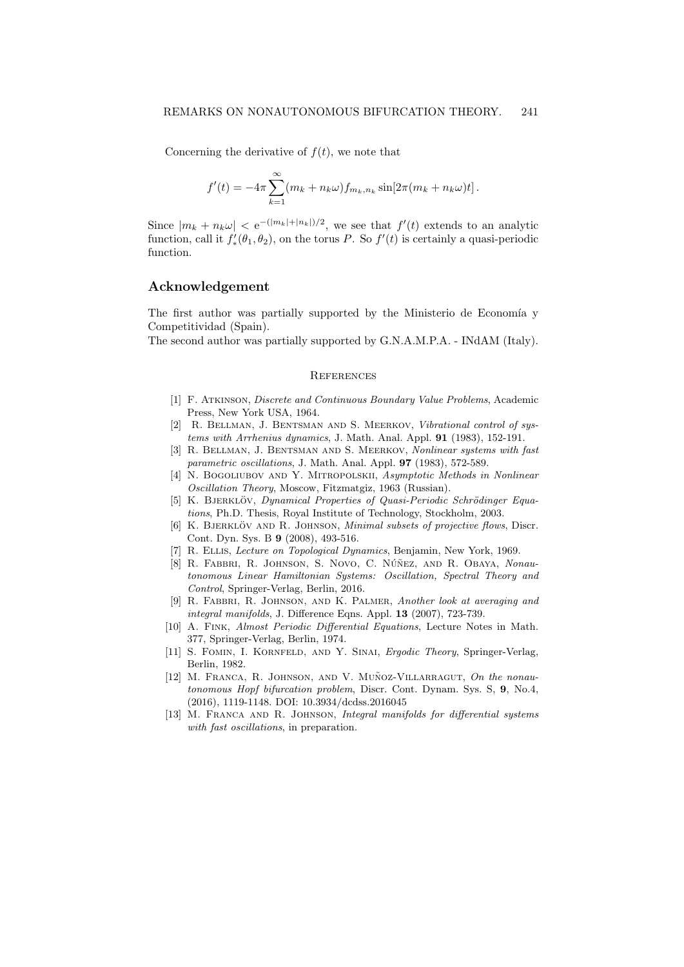Concerning the derivative of  $f(t)$ , we note that

$$
f'(t) = -4\pi \sum_{k=1}^{\infty} (m_k + n_k \omega) f_{m_k, n_k} \sin[2\pi (m_k + n_k \omega)t].
$$

Since  $|m_k + n_k \omega| < e^{-(|m_k|+|n_k|)/2}$ , we see that  $f'(t)$  extends to an analytic function, call it  $f'_*(\theta_1, \theta_2)$ , on the torus P. So  $f'(t)$  is certainly a quasi-periodic function.

#### Acknowledgement

The first author was partially supported by the Ministerio de Economía y Competitividad (Spain).

The second author was partially supported by G.N.A.M.P.A. - INdAM (Italy).

### **REFERENCES**

- [1] F. Atkinson, Discrete and Continuous Boundary Value Problems, Academic Press, New York USA, 1964.
- [2] R. BELLMAN, J. BENTSMAN AND S. MEERKOV, Vibrational control of systems with Arrhenius dynamics, J. Math. Anal. Appl. 91 (1983), 152-191.
- [3] R. BELLMAN, J. BENTSMAN AND S. MEERKOV, Nonlinear systems with fast parametric oscillations, J. Math. Anal. Appl. 97 (1983), 572-589.
- [4] N. BOGOLIUBOV AND Y. MITROPOLSKII, Asymptotic Methods in Nonlinear Oscillation Theory, Moscow, Fitzmatgiz, 1963 (Russian).
- [5] K. BJERKLÖV, Dynamical Properties of Quasi-Periodic Schrödinger Equations, Ph.D. Thesis, Royal Institute of Technology, Stockholm, 2003.
- [6] K. BJERKLÖV AND R. JOHNSON, *Minimal subsets of projective flows*, Discr. Cont. Dyn. Sys. B 9 (2008), 493-516.
- [7] R. Ellis, Lecture on Topological Dynamics, Benjamin, New York, 1969.
- [8] R. FABBRI, R. JOHNSON, S. NOVO, C. NÚÑEZ, AND R. OBAYA, Nonautonomous Linear Hamiltonian Systems: Oscillation, Spectral Theory and Control, Springer-Verlag, Berlin, 2016.
- [9] R. Fabbri, R. Johnson, and K. Palmer, Another look at averaging and integral manifolds, J. Difference Eqns. Appl. 13 (2007), 723-739.
- [10] A. Fink, Almost Periodic Differential Equations, Lecture Notes in Math. 377, Springer-Verlag, Berlin, 1974.
- [11] S. FOMIN, I. KORNFELD, AND Y. SINAI, Ergodic Theory, Springer-Verlag, Berlin, 1982.
- [12] M. FRANCA, R. JOHNSON, AND V. MUÑOZ-VILLARRAGUT, On the nonautonomous Hopf bifurcation problem, Discr. Cont. Dynam. Sys. S, 9, No.4, (2016), 1119-1148. DOI: 10.3934/dcdss.2016045
- [13] M. Franca and R. Johnson, Integral manifolds for differential systems with fast oscillations, in preparation.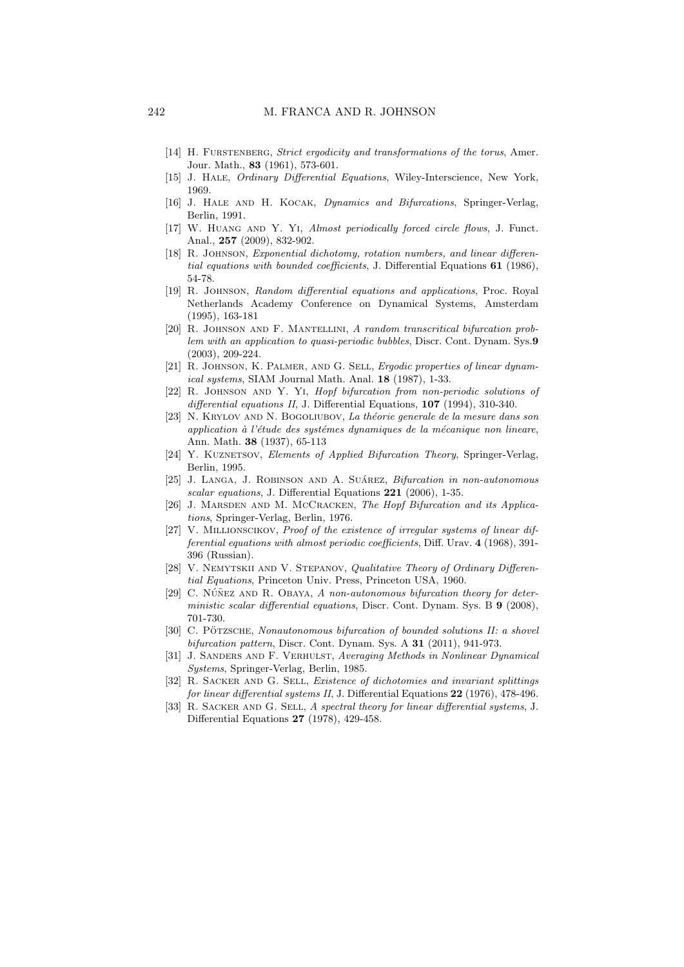- [14] H. FURSTENBERG, Strict ergodicity and transformations of the torus, Amer. Jour. Math., 83 (1961), 573-601.
- [15] J. Hale, Ordinary Differential Equations, Wiley-Interscience, New York, 1969.
- [16] J. HALE AND H. KOCAK, Dynamics and Bifurcations, Springer-Verlag, Berlin, 1991.
- [17] W. Huang and Y. Yi, Almost periodically forced circle flows, J. Funct. Anal., 257 (2009), 832-902.
- [18] R. Johnson, Exponential dichotomy, rotation numbers, and linear differential equations with bounded coefficients, J. Differential Equations 61 (1986), 54-78.
- [19] R. JOHNSON, Random differential equations and applications, Proc. Royal Netherlands Academy Conference on Dynamical Systems, Amsterdam (1995), 163-181
- [20] R. Johnson and F. Mantellini, A random transcritical bifurcation problem with an application to quasi-periodic bubbles, Discr. Cont. Dynam. Sys.9 (2003), 209-224.
- [21] R. Johnson, K. Palmer, and G. Sell, Ergodic properties of linear dynamical systems, SIAM Journal Math. Anal. 18 (1987), 1-33.
- [22] R. JOHNSON AND Y. YI, Hopf bifurcation from non-periodic solutions of differential equations II, J. Differential Equations, 107 (1994), 310-340.
- [23] N. KRYLOV AND N. BOGOLIUBOV, La théorie generale de la mesure dans son application à l'étude des systémes dynamiques de la mécanique non lineare, Ann. Math. 38 (1937), 65-113
- [24] Y. KUZNETSOV, Elements of Applied Bifurcation Theory, Springer-Verlag, Berlin, 1995.
- [25] J. LANGA, J. ROBINSON AND A. SUÁREZ,  $Bifurcation in non-autonomous$ scalar equations, J. Differential Equations 221 (2006), 1-35.
- [26] J. MARSDEN AND M. MCCRACKEN, The Hopf Bifurcation and its Applications, Springer-Verlag, Berlin, 1976.
- [27] V. Millionscikov, Proof of the existence of irregular systems of linear differential equations with almost periodic coefficients, Diff. Urav. 4 (1968), 391- 396 (Russian).
- [28] V. Nemytskii and V. Stepanov, Qualitative Theory of Ordinary Differential Equations, Princeton Univ. Press, Princeton USA, 1960.
- [29] C. NÚÑEZ AND R. OBAYA, A non-autonomous bifurcation theory for deterministic scalar differential equations, Discr. Cont. Dynam. Sys. B 9 (2008), 701-730.
- [30] C. PÖTZSCHE, Nonautonomous bifurcation of bounded solutions II: a shovel bifurcation pattern, Discr. Cont. Dynam. Sys. A 31 (2011), 941-973.
- [31] J. SANDERS AND F. VERHULST, Averaging Methods in Nonlinear Dynamical Systems, Springer-Verlag, Berlin, 1985.
- [32] R. SACKER AND G. SELL, Existence of dichotomies and invariant splittings for linear differential systems II, J. Differential Equations 22 (1976), 478-496.
- [33] R. SACKER AND G. SELL, A spectral theory for linear differential systems, J. Differential Equations 27 (1978), 429-458.